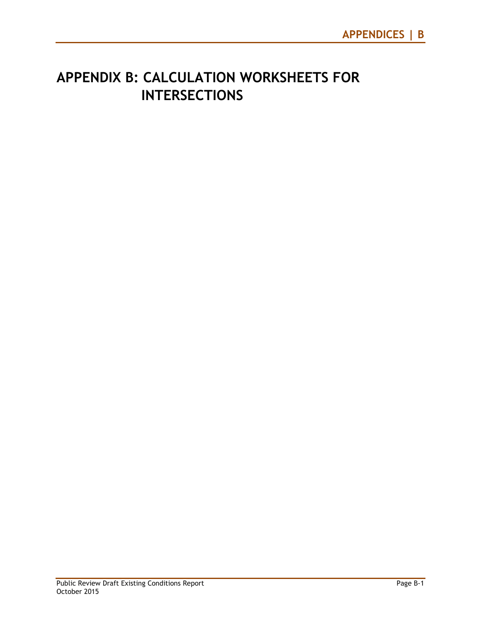# **APPENDIX B: CALCULATION WORKSHEETS FOR INTERSECTIONS**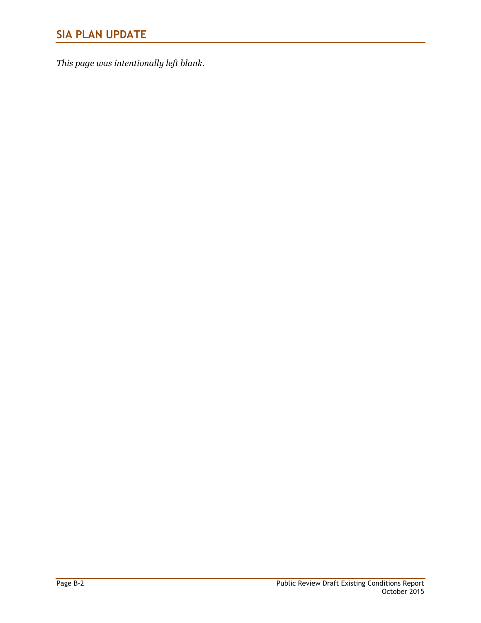## **SIA PLAN UPDATE**

*This page was intentionally left blank.*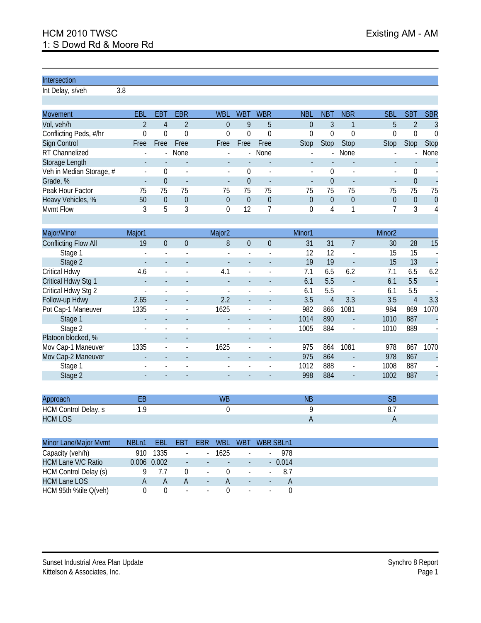Int Delay, s/veh 3.8

| <b>Movement</b>          | EBL                      | EBT            | <b>EBR</b>               | <b>WBL</b>               | <b>WBT</b> | <b>WBR</b>     | <b>NBL</b> | NB <sub>1</sub> | <b>NBR</b> | SBL                      | <b>SBT</b>     | <b>SBR</b>  |
|--------------------------|--------------------------|----------------|--------------------------|--------------------------|------------|----------------|------------|-----------------|------------|--------------------------|----------------|-------------|
| Vol, veh/h               |                          | 4              |                          | 0                        | Q          | 5              | $\Omega$   | 3               |            | 5                        | $\mathcal{P}$  | 3           |
| Conflicting Peds, #/hr   |                          | $\Omega$       | 0                        | 0                        |            |                | 0          | 0               | $\Omega$   | 0                        | $\theta$       | $\Omega$    |
| <b>Sign Control</b>      | Free                     | Free           | Free                     | Free                     | Free       | Free           | Stop       | Stop            | Stop       | Stop                     | <b>Stop</b>    | <b>Stop</b> |
| RT Channelized           | $\overline{\phantom{a}}$ | $\blacksquare$ | None                     |                          | $\sim$     | None           |            |                 | - None     |                          | $\sim$         | None        |
| Storage Length           |                          |                |                          |                          |            |                |            |                 |            |                          |                |             |
| Veh in Median Storage, # | ۰                        |                | $\overline{\phantom{a}}$ |                          |            |                |            |                 |            | $\overline{\phantom{a}}$ |                |             |
| Grade, %                 | $\overline{\phantom{a}}$ |                | $\overline{\phantom{a}}$ | $\overline{\phantom{a}}$ |            |                |            | 0               |            | $\overline{\phantom{a}}$ | $\overline{0}$ |             |
| Peak Hour Factor         | 75                       | 75             | 75                       | 75                       | 75         | 75             | 75         | 75              | 75         | 75                       | 75             | 75          |
| Heavy Vehicles, %        | 50                       | $\Omega$       | $\theta$                 |                          | $\Omega$   | $\overline{0}$ | 0          | 0               | $\Omega$   | $\theta$                 | $\theta$       | $\Omega$    |
| Mymt Flow                |                          | 5              | 3                        |                          | 12         |                |            | 4               |            |                          | 3              | 4           |
|                          |                          |                |                          |                          |            |                |            |                 |            |                          |                |             |

| Major/Minor                 | Major1                   |                          |          | Major <sub>2</sub> |                          |          | Minor1 |     |      | Minor <sub>2</sub> |                |      |
|-----------------------------|--------------------------|--------------------------|----------|--------------------|--------------------------|----------|--------|-----|------|--------------------|----------------|------|
| <b>Conflicting Flow All</b> | 19                       | $\theta$                 | $\theta$ | 8                  | $\Omega$                 | $\theta$ | 31     | 31  |      | 30                 | 28             | 15   |
| Stage 1                     |                          |                          |          |                    |                          |          | 12     | 12  |      | 15                 | 15             |      |
| Stage 2                     | $\overline{\phantom{a}}$ |                          |          |                    |                          |          | 19     | 19  |      | 15                 | 13             |      |
| <b>Critical Hdwy</b>        | 4.6                      | $\overline{\phantom{a}}$ |          | 4.1                | $\blacksquare$           |          | 7.1    | 6.5 | 6.2  | 7.1                | 6.5            | 6.2  |
| Critical Hdwy Stg 1         |                          |                          |          |                    |                          |          | 6.1    | 5.5 |      | 6.1                | 5.5            |      |
| Critical Hdwy Stg 2         |                          |                          |          |                    |                          |          | 6.1    | 5.5 |      | 6.1                | 5.5            |      |
| Follow-up Hdwy              | 2.65                     | $\overline{\phantom{0}}$ |          | 2.2                | $\overline{\phantom{a}}$ |          | 3.5    | 4   | 3.3  | 3.5                | $\overline{4}$ | 3.3  |
| Pot Cap-1 Maneuver          | 1335                     | $\overline{a}$           |          | 1625               |                          |          | 982    | 866 | 1081 | 984                | 869            | 1070 |
| Stage 1                     | $\overline{\phantom{a}}$ |                          |          |                    |                          |          | 1014   | 890 |      | 1010               | 887            |      |
| Stage 2                     |                          |                          |          |                    |                          |          | 1005   | 884 |      | 1010               | 889            |      |
| Platoon blocked, %          |                          | $\overline{\phantom{a}}$ |          |                    |                          |          |        |     |      |                    |                |      |
| Mov Cap-1 Maneuver          | 1335                     |                          |          | 1625               |                          |          | 975    | 864 | 1081 | 978                | 867            | 1070 |
| Mov Cap-2 Maneuver          | $\overline{\phantom{a}}$ |                          |          |                    |                          |          | 975    | 864 |      | 978                | 867            |      |
| Stage 1                     | ٠                        | ٠                        |          |                    |                          |          | 1012   | 888 |      | 1008               | 887            |      |
| Stage 2                     |                          |                          |          |                    |                          |          | 998    | 884 |      | 1002               | 887            |      |

| Appro                | WE | ٧E | JЕ  |
|----------------------|----|----|-----|
| HCM Control Delay, s |    |    | ◡.╷ |
| <b>HCML</b>          |    |    | . . |

| <b>Minor Lane/Major Mvmt</b> | NBLn1 | EBL              | EBT            | EBR    | <b>WBL</b>   | <b>WBT</b>               | WBR SBLn1                |          |
|------------------------------|-------|------------------|----------------|--------|--------------|--------------------------|--------------------------|----------|
| Capacity (veh/h)             |       | 910 1335         | $\blacksquare$ |        | - 1625       | $\overline{\phantom{a}}$ |                          | - 978    |
| <b>HCM Lane V/C Ratio</b>    |       | 0.006 0.002      | $\sim$         | $\sim$ | $\sim$ $-1$  | <b>Co</b>                |                          | $-0.014$ |
| <b>HCM Control Delay (s)</b> |       | 9 7.7            |                | $\sim$ | 0            | $\sim$                   | $\sim$                   | - 87     |
| <b>HCM Lane LOS</b>          |       | $\mathsf{A}$     | $\mathsf{A}$   | н.     | $\mathsf{A}$ | $\sim$                   |                          |          |
| HCM 95th %tile Q(veh)        |       | $\left( \right)$ | $\sim$         | $\sim$ | $\mathbf{U}$ | $\sim$                   | $\overline{\phantom{a}}$ |          |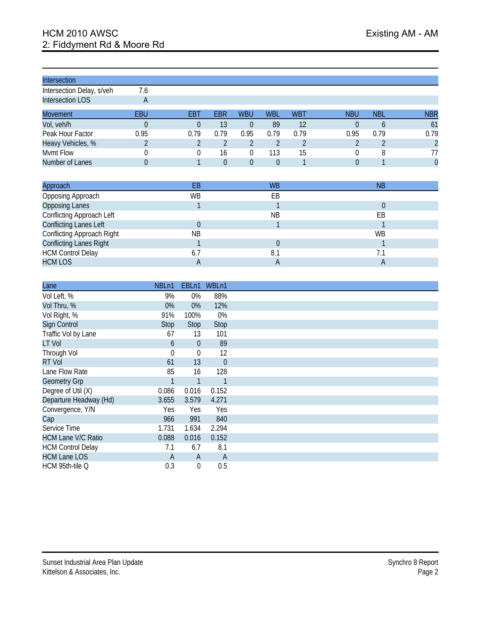| <b>Intersection</b>       |            |            |            |            |                |            |            |            |                          |
|---------------------------|------------|------------|------------|------------|----------------|------------|------------|------------|--------------------------|
| Intersection Delay, s/veh | 7.6        |            |            |            |                |            |            |            |                          |
| <b>Intersection LOS</b>   | A          |            |            |            |                |            |            |            |                          |
| <b>Movement</b>           | <b>EBU</b> | <b>EBT</b> | <b>EBR</b> | <b>WBU</b> | <b>WBL</b>     | <b>WBT</b> | <b>NBU</b> | <b>NBL</b> | <b>NBR</b>               |
| Vol, veh/h                |            | 0          | 13         | $\Omega$   | 89             | 12         |            |            | 61                       |
| Peak Hour Factor          | 0.95       | 0.79       | 0.79       | 0.95       | 0.79           | 0.79       | 0.95       | 0.79       | 0.79                     |
| Heavy Vehicles, %         |            |            |            |            |                |            |            |            | $\overline{\phantom{0}}$ |
| Mymt Flow                 |            | 0          | 16         | 0          | 113            | 15         |            |            | 77                       |
| Number of Lanes           |            |            | $\theta$   | $\theta$   | $\overline{0}$ |            | 0          |            | $\overline{0}$           |

| Approach                          |     | WВ           | ΝB |
|-----------------------------------|-----|--------------|----|
| Opposing Approach                 | WB  | EВ           |    |
| <b>Opposing Lanes</b>             |     |              |    |
| Conflicting Approach Left         |     | ΝB           | ЕB |
| <b>Conflicting Lanes Left</b>     |     |              |    |
| <b>Conflicting Approach Right</b> | ΝB  |              | WB |
| Conflicting Lanes Right           |     |              |    |
| <b>HCM Control Delay</b>          | 6.7 | 8.1          |    |
| <b>HCM LOS</b>                    | U   | $\mathsf{H}$ |    |

| Lane                      | NBLn1          | EBLn1          | WBLn1        |  |
|---------------------------|----------------|----------------|--------------|--|
| Vol Left, %               | 9%             | 0%             | 88%          |  |
| Vol Thru, %               | 0%             | 0%             | 12%          |  |
| Vol Right, %              | 91%            | 100%           | 0%           |  |
| Sign Control              | <b>Stop</b>    | Stop           | Stop         |  |
| Traffic Vol by Lane       | 67             | 13             | 101          |  |
| LT Vol                    | 6              | $\overline{0}$ | 89           |  |
| Through Vol               | $\mathbf 0$    | $\theta$       | 12           |  |
| RT Vol                    | 61             | 13             | $\theta$     |  |
| Lane Flow Rate            | 85             | 16             | 128          |  |
| <b>Geometry Grp</b>       |                |                | $\mathbf{1}$ |  |
| Degree of Util (X)        | 0.086          | 0.016          | 0.152        |  |
| Departure Headway (Hd)    | 3.655          | 3.579          | 4.271        |  |
| Convergence, Y/N          | Yes            | Yes            | Yes          |  |
| Cap                       | 966            | 991            | 840          |  |
| Service Time              | 1.731          | 1.634          | 2.294        |  |
| <b>HCM Lane V/C Ratio</b> | 0.088          | 0.016          | 0.152        |  |
| <b>HCM Control Delay</b>  | 7.1            | 6.7            | 8.1          |  |
| <b>HCM Lane LOS</b>       | $\overline{A}$ | A              | $\mathsf{A}$ |  |
| HCM 95th-tile Q           | 0.3            | 0              | 0.5          |  |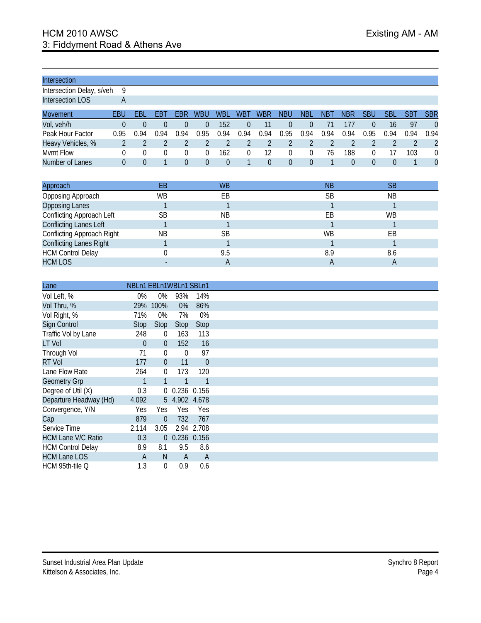| <b>Intersection</b>       |                |          |                |            |            |                |            |            |                |                |                |                |                  |                  |            |                |
|---------------------------|----------------|----------|----------------|------------|------------|----------------|------------|------------|----------------|----------------|----------------|----------------|------------------|------------------|------------|----------------|
| Intersection Delay, s/veh | 9              |          |                |            |            |                |            |            |                |                |                |                |                  |                  |            |                |
| <b>Intersection LOS</b>   | $\overline{A}$ |          |                |            |            |                |            |            |                |                |                |                |                  |                  |            |                |
| <b>Movement</b>           | EBU            | EBL      | EBT            | <b>EBR</b> | <b>WBU</b> | <b>WBL</b>     | <b>WBT</b> | <b>WBR</b> | <b>NBU</b>     | <b>NBL</b>     | <b>NBT</b>     | <b>NBR</b>     | <b>SBU</b>       | <b>SBL</b>       | <b>SBT</b> | <b>SBR</b>     |
| Vol, veh/h                | $\Omega$       | $\Omega$ | $\Omega$       | $\Omega$   | 0          | 152            | $\Omega$   | 11         | $\theta$       | $\Omega$       | 71             | 177            | $\theta$         | 16               | 97         | $\Omega$       |
| Peak Hour Factor          | 0.95           | 0.94     | 0.94           | 0.94       | 0.95       | 0.94           | 0.94       | 0.94       | 0.95           | 0.94           | 0.94           | 0.94           | 0.95             | 0.94             | 0.94       | 0.94           |
| Heavy Vehicles, %         | 2              | 2        | $\overline{2}$ | 2          | 2          |                | 2          |            | $\overline{2}$ | $\overline{2}$ | $\overline{2}$ | $\overline{2}$ | $\overline{2}$   | 2                | 2          | $\overline{2}$ |
| Mymt Flow                 | 0              | $\theta$ | 0              | 0          | 0          | 162            | 0          | 12         | $\Omega$       | 0              | 76             | 188            | 0                | 17               | 103        | $\mathbf 0$    |
| Number of Lanes           | 0              | $\theta$ |                | 0          | 0          | $\overline{0}$ |            | 0          | $\overline{0}$ | $\theta$       |                | $\theta$       | $\boldsymbol{0}$ | $\boldsymbol{0}$ |            | $\mathbf 0$    |
|                           |                |          |                |            |            |                |            |            |                |                |                |                |                  |                  |            |                |
| Approach                  |                |          | EB             |            |            | <b>WB</b>      |            |            |                |                | <b>NB</b>      |                |                  | <b>SB</b>        |            |                |
| Opposing Approach         |                |          | WB             |            |            | EВ             |            |            |                |                | <b>SB</b>      |                |                  | ΝB               |            |                |
| <b>Opposing Lanes</b>     |                |          |                |            |            |                |            |            |                |                |                |                |                  |                  |            |                |
| Conflicting Approach Left |                |          | <b>SB</b>      |            |            | ΝB             |            |            |                |                | ΕB             |                |                  | WB               |            |                |

| <b>Conflicting Approach Left</b>  |           | <b>NB</b> |    | WB  |  |
|-----------------------------------|-----------|-----------|----|-----|--|
| <b>Conflicting Lanes Left</b>     |           |           |    |     |  |
| <b>Conflicting Approach Right</b> | <b>NB</b> |           | WB |     |  |
| <b>Conflicting Lanes Right</b>    |           |           |    |     |  |
| <b>HCM Control Delay</b>          |           |           |    | 8.6 |  |
| <b>HCM LOS</b>                    |           |           |    |     |  |

| Lane                      | NBLn1 EBLn1WBLn1 SBLn1 |                  |               |            |
|---------------------------|------------------------|------------------|---------------|------------|
| Vol Left, %               | 0%                     | 0%               | 93%           | 14%        |
| Vol Thru, %               | 29%                    | 100%             | 0%            | 86%        |
| Vol Right, %              | 71%                    | 0%               | 7%            | 0%         |
| Sign Control              | Stop                   | Stop             | Stop          | Stop       |
| Traffic Vol by Lane       | 248                    | $\boldsymbol{0}$ | 163           | 113        |
| LT Vol                    | $\theta$               | $\overline{0}$   | 152           | 16         |
| Through Vol               | 71                     | $\mathbf 0$      | 0             | 97         |
| RT Vol                    | 177                    | $\overline{0}$   | 11            | $\theta$   |
| Lane Flow Rate            | 264                    | $\Omega$         | 173           | 120        |
| <b>Geometry Grp</b>       |                        |                  |               |            |
| Degree of Util (X)        | 0.3                    |                  | 0 0.236 0.156 |            |
| Departure Headway (Hd)    | 4.092                  |                  | 5 4.902 4.678 |            |
| Convergence, Y/N          | Yes                    | Yes              | Yes           | Yes        |
| Cap                       | 879                    | $\overline{0}$   | 732           | 767        |
| Service Time              | 2.114                  | 3.05             |               | 2.94 2.708 |
| <b>HCM Lane V/C Ratio</b> | 0.3                    |                  | 0 0.236 0.156 |            |
| <b>HCM Control Delay</b>  | 8.9                    | 8.1              | 9.5           | 8.6        |
| <b>HCM Lane LOS</b>       | $\overline{A}$         | N                | A             | A          |
| HCM 95th-tile Q           | 1.3                    | $\Omega$         | 0.9           | 0.6        |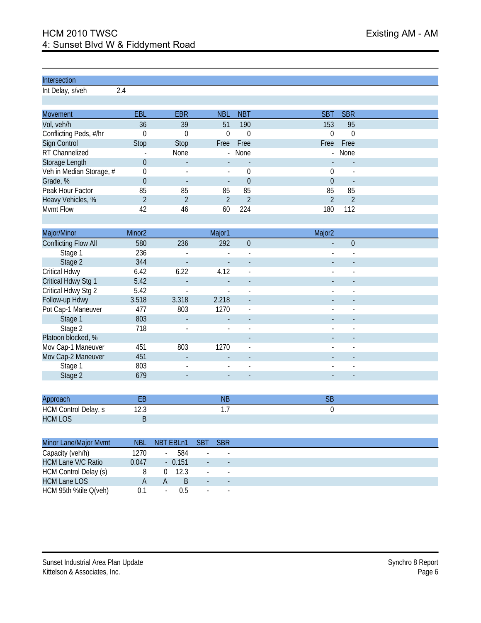Int Delay, s/veh 2.4

| <b>Movement</b>          | <b>EBL</b>     | <b>EBR</b>               | <b>NBL</b>               | <b>NBT</b> | <b>SBT</b> | <b>SBR</b>               |  |
|--------------------------|----------------|--------------------------|--------------------------|------------|------------|--------------------------|--|
| Vol, veh/h               | 36             | 39                       | 51                       | 190        | 153        | 95                       |  |
| Conflicting Peds, #/hr   | 0              |                          | 0                        | 0          |            | $\Omega$                 |  |
| Sign Control             | Stop           | Stop                     | <b>Free</b>              | Free       | Free       | Free                     |  |
| RT Channelized           |                | None                     | $\overline{\phantom{0}}$ | None       |            | - None                   |  |
| Storage Length           | 0              | $\overline{\phantom{a}}$ |                          |            |            |                          |  |
| Veh in Median Storage, # | 0              | $\overline{\phantom{a}}$ | $\overline{\phantom{0}}$ | $\Omega$   |            | $\overline{\phantom{a}}$ |  |
| Grade, %                 |                | $\overline{\phantom{a}}$ | $\overline{\phantom{a}}$ | 0          |            | $\overline{\phantom{a}}$ |  |
| Peak Hour Factor         | 85             | 85                       | 85                       | 85         | 85         | 85                       |  |
| Heavy Vehicles, %        | $\mathfrak{D}$ |                          |                          |            |            | $\mathfrak{D}$           |  |
| Mymt Flow                | 42             | 46                       | 60                       | 224        | 180        | 112                      |  |
|                          |                |                          |                          |            |            |                          |  |

| Major/Minor          | Minor <sub>2</sub> |                          | Major1                   |                          | Major <sub>2</sub>       |          |  |
|----------------------|--------------------|--------------------------|--------------------------|--------------------------|--------------------------|----------|--|
| Conflicting Flow All | 580                | 236                      | 292                      | $\theta$                 | $\overline{\phantom{a}}$ | $\Omega$ |  |
| Stage 1              | 236                | $\overline{\phantom{a}}$ |                          | $\blacksquare$           |                          |          |  |
| Stage 2              | 344                | $\blacksquare$           |                          | $\overline{\phantom{a}}$ |                          |          |  |
| Critical Hdwy        | 6.42               | 6.22                     | 4.12                     | $\blacksquare$           |                          |          |  |
| Critical Hdwy Stg 1  | 5.42               |                          |                          |                          |                          |          |  |
| Critical Hdwy Stg 2  | 5.42               | $\blacksquare$           |                          | $\blacksquare$           |                          |          |  |
| Follow-up Hdwy       | 3.518              | 3.318                    | 2.218                    | $\sim$                   |                          |          |  |
| Pot Cap-1 Maneuver   | 477                | 803                      | 1270                     | $\blacksquare$           |                          |          |  |
| Stage 1              | 803                | $\overline{\phantom{a}}$ |                          |                          |                          |          |  |
| Stage 2              | 718                | $\blacksquare$           | $\overline{\phantom{a}}$ | $\blacksquare$           |                          |          |  |
| Platoon blocked, %   |                    |                          |                          | $\overline{\phantom{a}}$ |                          |          |  |
| Mov Cap-1 Maneuver   | 451                | 803                      | 1270                     | $\sim$                   |                          |          |  |
| Mov Cap-2 Maneuver   | 451                |                          |                          |                          |                          |          |  |
| Stage 1              | 803                | $\overline{\phantom{a}}$ | $\overline{\phantom{a}}$ | $\overline{a}$           |                          |          |  |
| Stage 2              | 679                | $\overline{\phantom{0}}$ |                          |                          |                          |          |  |

| Approach             |               | <b>NB</b> | ىاڭ |  |
|----------------------|---------------|-----------|-----|--|
| HCM Control Delay, s | 100<br>ن ۲۰ ا | .         |     |  |
| <b>HCM LOS</b>       |               |           |     |  |

| <b>Minor Lane/Major Mvmt</b> | <b>NBL</b> | NBT EBLn1                       | <b>SBT</b>               | SBR S                    |  |
|------------------------------|------------|---------------------------------|--------------------------|--------------------------|--|
| Capacity (veh/h)             | 1270       | 584<br>$\overline{\phantom{a}}$ | $\overline{\phantom{0}}$ | -                        |  |
| <b>HCM Lane V/C Ratio</b>    | 0.047      | $-0.151$                        | $\overline{\phantom{0}}$ | $\overline{\phantom{a}}$ |  |
| <b>HCM Control Delay (s)</b> |            | - 12.3                          | $\overline{\phantom{a}}$ | $\overline{\phantom{a}}$ |  |
| <b>HCM Lane LOS</b>          |            | B<br>A                          | $\sim$                   | $\overline{\phantom{a}}$ |  |
| HCM 95th %tile Q(veh)        | 0 T        | 0.5<br>$\overline{\phantom{0}}$ | $\overline{\phantom{0}}$ | -                        |  |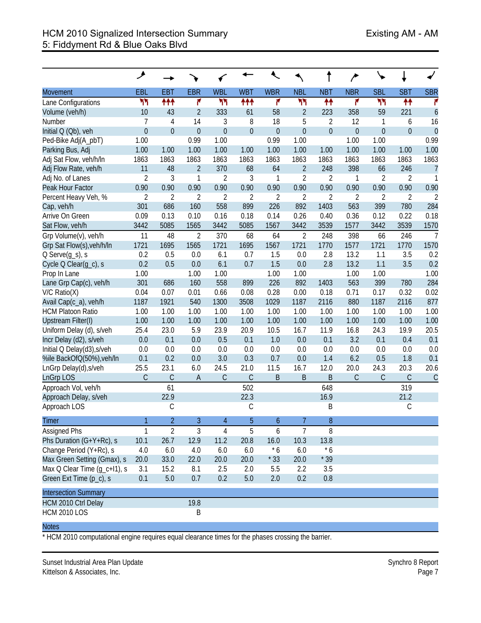|                              | هر             |                |                |                  |                |                  |                |                | م                |                |                | ✔              |
|------------------------------|----------------|----------------|----------------|------------------|----------------|------------------|----------------|----------------|------------------|----------------|----------------|----------------|
| <b>Movement</b>              | EBL            | <b>EBT</b>     | <b>EBR</b>     | <b>WBL</b>       | <b>WBT</b>     | <b>WBR</b>       | <b>NBL</b>     | <b>NBT</b>     | <b>NBR</b>       | <b>SBL</b>     | <b>SBT</b>     | <b>SBR</b>     |
| Lane Configurations          | ۲٢             | 111            | ۴              | ٦٦               | 111            | ۴                | ۲٢             | ₩              | ۴                | ۲٢             | ₩              | ۴              |
| Volume (veh/h)               | 10             | 43             | $\overline{2}$ | 333              | 61             | 58               | $\overline{2}$ | 223            | 358              | 59             | 221            | 6              |
| Number                       | $\overline{7}$ | 4              | 14             | 3                | 8              | 18               | 5              | 2              | 12               | 1              | 6              | 16             |
| Initial Q (Qb), veh          | $\mathbf{0}$   | $\mathbf 0$    | $\theta$       | $\boldsymbol{0}$ | $\overline{0}$ | $\boldsymbol{0}$ | $\overline{0}$ | $\mathbf 0$    | $\boldsymbol{0}$ | $\mathbf 0$    | $\overline{0}$ | $\mathbf{0}$   |
| Ped-Bike Adj(A_pbT)          | 1.00           |                | 0.99           | 1.00             |                | 0.99             | 1.00           |                | 1.00             | 1.00           |                | 0.99           |
| Parking Bus, Adj             | 1.00           | 1.00           | 1.00           | 1.00             | 1.00           | 1.00             | 1.00           | 1.00           | 1.00             | 1.00           | 1.00           | 1.00           |
| Adj Sat Flow, veh/h/ln       | 1863           | 1863           | 1863           | 1863             | 1863           | 1863             | 1863           | 1863           | 1863             | 1863           | 1863           | 1863           |
| Adj Flow Rate, veh/h         | 11             | 48             | $\overline{2}$ | 370              | 68             | 64               | $\overline{2}$ | 248            | 398              | 66             | 246            | $\overline{7}$ |
| Adj No. of Lanes             | $\overline{2}$ | $\mathfrak{Z}$ | 1              | $\overline{2}$   | $\mathfrak{Z}$ | 1                | $\overline{2}$ | $\overline{2}$ | 1                | $\overline{2}$ | $\overline{2}$ | $\mathbf{1}$   |
| Peak Hour Factor             | 0.90           | 0.90           | 0.90           | 0.90             | 0.90           | 0.90             | 0.90           | 0.90           | 0.90             | 0.90           | 0.90           | 0.90           |
| Percent Heavy Veh, %         | $\overline{2}$ | $\overline{2}$ | $\overline{2}$ | $\overline{2}$   | $\sqrt{2}$     | $\overline{2}$   | $\overline{2}$ | $\overline{2}$ | $\overline{2}$   | $\overline{2}$ | 2              | 2              |
| Cap, veh/h                   | 301            | 686            | 160            | 558              | 899            | 226              | 892            | 1403           | 563              | 399            | 780            | 284            |
| Arrive On Green              | 0.09           | 0.13           | 0.10           | 0.16             | 0.18           | 0.14             | 0.26           | 0.40           | 0.36             | 0.12           | 0.22           | 0.18           |
| Sat Flow, veh/h              | 3442           | 5085           | 1565           | 3442             | 5085           | 1567             | 3442           | 3539           | 1577             | 3442           | 3539           | 1570           |
| Grp Volume(v), veh/h         | 11             | 48             | $\overline{2}$ | 370              | 68             | 64               | $\overline{2}$ | 248            | 398              | 66             | 246            | $\overline{7}$ |
| Grp Sat Flow(s), veh/h/ln    | 1721           | 1695           | 1565           | 1721             | 1695           | 1567             | 1721           | 1770           | 1577             | 1721           | 1770           | 1570           |
| $Q$ Serve $(q_s)$ , s        | 0.2            | 0.5            | 0.0            | 6.1              | 0.7            | 1.5              | 0.0            | 2.8            | 13.2             | 1.1            | 3.5            | 0.2            |
| Cycle Q Clear(q_c), s        | 0.2            | 0.5            | 0.0            | 6.1              | 0.7            | 1.5              | 0.0            | 2.8            | 13.2             | 1.1            | 3.5            | 0.2            |
| Prop In Lane                 | 1.00           |                | 1.00           | 1.00             |                | 1.00             | 1.00           |                | 1.00             | 1.00           |                | 1.00           |
| Lane Grp Cap(c), veh/h       | 301            | 686            | 160            | 558              | 899            | 226              | 892            | 1403           | 563              | 399            | 780            | 284            |
| $V/C$ Ratio $(X)$            | 0.04           | 0.07           | 0.01           | 0.66             | 0.08           | 0.28             | 0.00           | 0.18           | 0.71             | 0.17           | 0.32           | 0.02           |
| Avail Cap(c_a), veh/h        | 1187           | 1921           | 540            | 1300             | 3508           | 1029             | 1187           | 2116           | 880              | 1187           | 2116           | 877            |
| <b>HCM Platoon Ratio</b>     | 1.00           | 1.00           | 1.00           | 1.00             | 1.00           | 1.00             | 1.00           | 1.00           | 1.00             | 1.00           | 1.00           | 1.00           |
| Upstream Filter(I)           | 1.00           | 1.00           | 1.00           | 1.00             | 1.00           | 1.00             | 1.00           | 1.00           | 1.00             | 1.00           | 1.00           | 1.00           |
| Uniform Delay (d), s/veh     | 25.4           | 23.0           | 5.9            | 23.9             | 20.9           | 10.5             | 16.7           | 11.9           | 16.8             | 24.3           | 19.9           | 20.5           |
| Incr Delay (d2), s/veh       | 0.0            | 0.1            | 0.0            | 0.5              | 0.1            | 1.0              | 0.0            | 0.1            | 3.2              | 0.1            | 0.4            | 0.1            |
| Initial Q Delay(d3), s/veh   | 0.0            | 0.0            | 0.0            | 0.0              | 0.0            | 0.0              | 0.0            | 0.0            | 0.0              | 0.0            | 0.0            | 0.0            |
| %ile BackOfQ(50%), veh/In    | 0.1            | 0.2            | 0.0            | 3.0              | 0.3            | 0.7              | 0.0            | 1.4            | 6.2              | 0.5            | 1.8            | 0.1            |
| LnGrp Delay(d), s/veh        | 25.5           | 23.1           | 6.0            | 24.5             | 21.0           | 11.5             | 16.7           | 12.0           | 20.0             | 24.3           | 20.3           | 20.6           |
| <b>LnGrp LOS</b>             | $\mathsf{C}$   | $\mathsf C$    | $\overline{A}$ | $\mathsf C$      | $\mathcal{C}$  | $\sf B$          | $\mathsf B$    | $\mathsf B$    | $\mathsf C$      | $\mathsf C$    | $\mathsf C$    | $\mathcal{C}$  |
| Approach Vol, veh/h          |                | 61             |                |                  | 502            |                  |                | 648            |                  |                | 319            |                |
| Approach Delay, s/veh        |                | 22.9           |                |                  | 22.3           |                  |                | 16.9           |                  |                | 21.2           |                |
| Approach LOS                 |                | C              |                |                  | C              |                  |                | B              |                  |                | $\mathsf C$    |                |
| <b>Timer</b>                 | 1              | $\overline{2}$ | $\overline{3}$ | $\overline{4}$   | 5              | 6                | 7              | 8              |                  |                |                |                |
| Assigned Phs                 | $\mathbf{1}$   | $\overline{2}$ | 3              | $\overline{4}$   | 5              | 6                | $\overline{7}$ | 8              |                  |                |                |                |
| Phs Duration (G+Y+Rc), s     | 10.1           | 26.7           | 12.9           | 11.2             | 20.8           | 16.0             | 10.3           | 13.8           |                  |                |                |                |
| Change Period (Y+Rc), s      | 4.0            | 6.0            | 4.0            | 6.0              | 6.0            | $^{\star}$ 6     | 6.0            | $*6$           |                  |                |                |                |
| Max Green Setting (Gmax), s  | 20.0           | 33.0           | 22.0           | 20.0             | 20.0           | $*33$            | 20.0           | $*39$          |                  |                |                |                |
| Max Q Clear Time (g_c+l1), s | 3.1            | 15.2           | 8.1            | 2.5              | 2.0            | 5.5              | 2.2            | 3.5            |                  |                |                |                |
| Green Ext Time (p_c), s      | 0.1            | $5.0\,$        | 0.7            | 0.2              | 5.0            | 2.0              | 0.2            | 0.8            |                  |                |                |                |
| <b>Intersection Summary</b>  |                |                |                |                  |                |                  |                |                |                  |                |                |                |
| HCM 2010 Ctrl Delay          |                |                | 19.8           |                  |                |                  |                |                |                  |                |                |                |
| <b>HCM 2010 LOS</b>          |                |                | B              |                  |                |                  |                |                |                  |                |                |                |

**Notes** 

\* HCM 2010 computational engine requires equal clearance times for the phases crossing the barrier.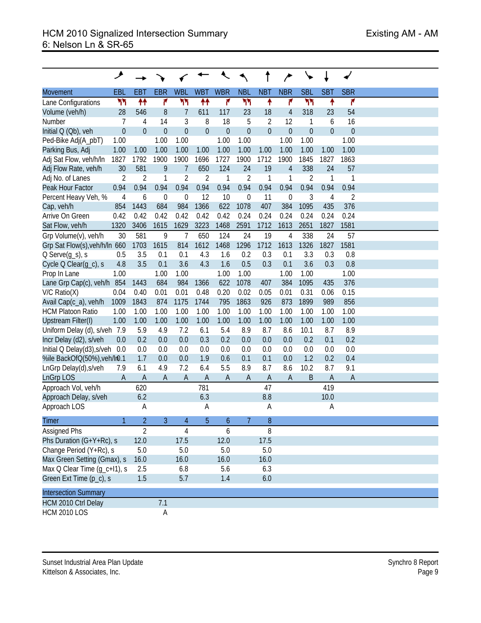|                                             | ۸                |                |                |                  |                  |                  |                  |                | $\overline{\phantom{a}}$ |                |                | ✔              |  |
|---------------------------------------------|------------------|----------------|----------------|------------------|------------------|------------------|------------------|----------------|--------------------------|----------------|----------------|----------------|--|
| <b>Movement</b>                             | EBL              | <b>EBT</b>     | <b>EBR</b>     | <b>WBL</b>       | <b>WBT</b>       | <b>WBR</b>       | <b>NBL</b>       | <b>NBT</b>     | <b>NBR</b>               | <b>SBL</b>     | <b>SBT</b>     | <b>SBR</b>     |  |
| Lane Configurations                         | ۲٢               | ₩              | ۴              | ٦٦               | ↟↟               | 7                | ۲٢               | ۰              | ۴                        | ź              | ۰              | ۴              |  |
| Volume (veh/h)                              | 28               | 546            | 8              | $\overline{7}$   | 611              | 117              | 23               | 18             | 4                        | 318            | 23             | 54             |  |
| Number                                      | 7                | 4              | 14             | 3                | 8                | 18               | 5                | 2              | 12                       | 1              | 6              | 16             |  |
| Initial Q (Qb), veh                         | $\boldsymbol{0}$ | $\overline{0}$ | $\theta$       | $\boldsymbol{0}$ | $\boldsymbol{0}$ | $\overline{0}$   | $\boldsymbol{0}$ | $\mathbf 0$    | $\mathbf 0$              | $\mathbf 0$    | $\mathbf{0}$   | $\theta$       |  |
| Ped-Bike Adj(A_pbT)                         | 1.00             |                | 1.00           | 1.00             |                  | 1.00             | 1.00             |                | 1.00                     | 1.00           |                | 1.00           |  |
| Parking Bus, Adj                            | 1.00             | 1.00           | 1.00           | 1.00             | 1.00             | 1.00             | 1.00             | 1.00           | 1.00                     | 1.00           | 1.00           | 1.00           |  |
| Adj Sat Flow, veh/h/ln                      | 1827             | 1792           | 1900           | 1900             | 1696             | 1727             | 1900             | 1712           | 1900                     | 1845           | 1827           | 1863           |  |
| Adj Flow Rate, veh/h                        | 30               | 581            | 9              | $\overline{7}$   | 650              | 124              | 24               | 19             | $\overline{4}$           | 338            | 24             | 57             |  |
| Adj No. of Lanes                            | $\overline{2}$   | $\overline{2}$ | 1              | $\overline{2}$   | $\overline{2}$   | 1                | 2                | 1              | 1                        | $\overline{2}$ | 1              | 1              |  |
| Peak Hour Factor                            | 0.94             | 0.94           | 0.94           | 0.94             | 0.94             | 0.94             | 0.94             | 0.94           | 0.94                     | 0.94           | 0.94           | 0.94           |  |
| Percent Heavy Veh, %                        | 4                | 6              | 0              | $\mathbf 0$      | 12               | 10               | $\boldsymbol{0}$ | 11             | $\mathbf 0$              | 3              | 4              | $\overline{2}$ |  |
| Cap, veh/h                                  | 854              | 1443           | 684            | 984              | 1366             | 622              | 1078             | 407            | 384                      | 1095           | 435            | 376            |  |
| Arrive On Green                             | 0.42             | 0.42           | 0.42           | 0.42             | 0.42             | 0.42             | 0.24             | 0.24           | 0.24                     | 0.24           | 0.24           | 0.24           |  |
| Sat Flow, veh/h                             | 1320             | 3406           | 1615           | 1629             | 3223             | 1468             | 2591             | 1712           | 1613                     | 2651           | 1827           | 1581           |  |
| Grp Volume(v), veh/h                        | 30               | 581            | 9              | $\overline{7}$   | 650              | 124              | 24               | 19             | 4                        | 338            | 24             | 57             |  |
| Grp Sat Flow(s), veh/h/ln 660               |                  | 1703           | 1615           | 814              | 1612             | 1468             | 1296             | 1712           | 1613                     | 1326           | 1827           | 1581           |  |
| $Q$ Serve $(g_s)$ , s                       | 0.5              | 3.5            | 0.1            | 0.1              | 4.3              | 1.6              | 0.2              | 0.3            | 0.1                      | 3.3            | 0.3            | 0.8            |  |
| Cycle Q Clear(g_c), s                       | 4.8              | 3.5            | 0.1            | 3.6              | 4.3              | 1.6              | 0.5              | 0.3            | 0.1                      | 3.6            | 0.3            | 0.8            |  |
| Prop In Lane                                | 1.00             |                | 1.00<br>684    | 1.00<br>984      |                  | 1.00<br>622      | 1.00<br>1078     | 407            | 1.00<br>384              | 1.00<br>1095   | 435            | 1.00<br>376    |  |
| Lane Grp Cap(c), veh/h<br>$V/C$ Ratio $(X)$ | 854<br>0.04      | 1443<br>0.40   | 0.01           | 0.01             | 1366<br>0.48     | 0.20             | 0.02             | 0.05           | 0.01                     | 0.31           | 0.06           | 0.15           |  |
| Avail Cap(c_a), veh/h                       | 1009             | 1843           | 874            | 1175             | 1744             | 795              | 1863             | 926            | 873                      | 1899           | 989            | 856            |  |
| <b>HCM Platoon Ratio</b>                    | 1.00             | 1.00           | 1.00           | 1.00             | 1.00             | 1.00             | 1.00             | 1.00           | 1.00                     | 1.00           | 1.00           | 1.00           |  |
| <b>Upstream Filter(I)</b>                   | 1.00             | 1.00           | 1.00           | 1.00             | 1.00             | 1.00             | 1.00             | 1.00           | 1.00                     | 1.00           | 1.00           | 1.00           |  |
| Uniform Delay (d), s/veh 7.9                |                  | 5.9            | 4.9            | 7.2              | 6.1              | 5.4              | 8.9              | 8.7            | 8.6                      | 10.1           | 8.7            | 8.9            |  |
| Incr Delay (d2), s/veh                      | 0.0              | 0.2            | 0.0            | 0.0              | 0.3              | 0.2              | 0.0              | 0.0            | 0.0                      | 0.2            | 0.1            | 0.2            |  |
| Initial Q Delay(d3), s/veh                  | 0.0              | 0.0            | 0.0            | 0.0              | 0.0              | 0.0              | 0.0              | 0.0            | 0.0                      | 0.0            | 0.0            | 0.0            |  |
| %ile BackOfQ(50%), veh/lr0.1                |                  | 1.7            | 0.0            | 0.0              | 1.9              | 0.6              | 0.1              | 0.1            | 0.0                      | 1.2            | 0.2            | 0.4            |  |
| LnGrp Delay(d), s/veh                       | 7.9              | 6.1            | 4.9            | 7.2              | 6.4              | 5.5              | 8.9              | 8.7            | 8.6                      | 10.2           | 8.7            | 9.1            |  |
| <b>LnGrp LOS</b>                            | $\overline{A}$   | $\overline{A}$ | A              | $\mathsf{A}$     | A                | A                | $\mathsf{A}$     | $\overline{A}$ | $\overline{A}$           | B              | $\overline{A}$ | A              |  |
| Approach Vol, veh/h                         |                  | 620            |                |                  | 781              |                  |                  | 47             |                          |                | 419            |                |  |
| Approach Delay, s/veh                       |                  | 6.2            |                |                  | 6.3              |                  |                  | 8.8            |                          |                | 10.0           |                |  |
| Approach LOS                                |                  | Α              |                |                  | A                |                  |                  | A              |                          |                | A              |                |  |
| <b>Timer</b>                                | 1                | $\overline{c}$ | $\overline{3}$ | $\overline{4}$   | $\overline{5}$   | $\boldsymbol{6}$ | $\overline{7}$   | 8              |                          |                |                |                |  |
| Assigned Phs                                |                  | $\overline{2}$ |                | 4                |                  | 6                |                  | 8              |                          |                |                |                |  |
| Phs Duration (G+Y+Rc), s                    |                  | 12.0           |                | 17.5             |                  | 12.0             |                  | 17.5           |                          |                |                |                |  |
| Change Period (Y+Rc), s                     |                  | 5.0            |                | 5.0              |                  | 5.0              |                  | 5.0            |                          |                |                |                |  |
| Max Green Setting (Gmax), s                 |                  | 16.0           |                | 16.0             |                  | 16.0             |                  | 16.0           |                          |                |                |                |  |
| Max Q Clear Time (g_c+l1), s                |                  | 2.5            |                | 6.8              |                  | 5.6              |                  | 6.3            |                          |                |                |                |  |
| Green Ext Time (p_c), s                     |                  | 1.5            |                | 5.7              |                  | 1.4              |                  | 6.0            |                          |                |                |                |  |
| <b>Intersection Summary</b>                 |                  |                |                |                  |                  |                  |                  |                |                          |                |                |                |  |
| HCM 2010 Ctrl Delay                         |                  |                | 7.1            |                  |                  |                  |                  |                |                          |                |                |                |  |
| <b>HCM 2010 LOS</b>                         |                  |                | А              |                  |                  |                  |                  |                |                          |                |                |                |  |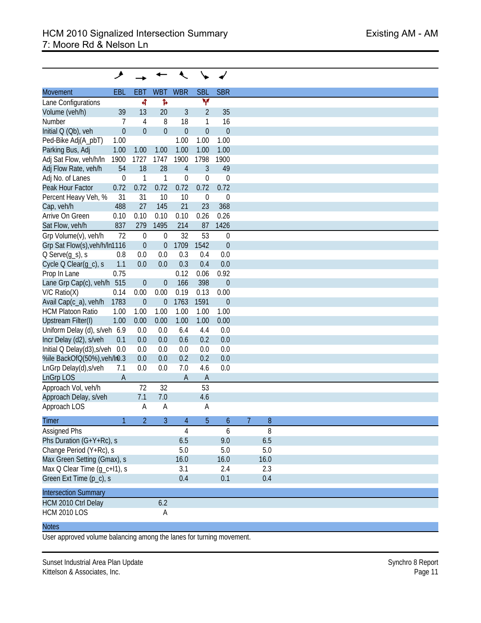|                               | فر             |                  |                  |                |                  | $\blacktriangledown$ |
|-------------------------------|----------------|------------------|------------------|----------------|------------------|----------------------|
| <b>Movement</b>               | EBL            | <b>EBT</b>       | <b>WBT</b>       | <b>WBR</b>     | <b>SBL</b>       | <b>SBR</b>           |
| Lane Configurations           |                | ৰ                | Ъ                |                | ۷                |                      |
| Volume (veh/h)                | 39             | 13               | 20               | 3              | $\overline{2}$   | 35                   |
| Number                        | 7              | 4                | 8                | 18             | 1                | 16                   |
| Initial Q (Qb), veh           | $\theta$       | $\overline{0}$   | $\theta$         | $\theta$       | $\boldsymbol{0}$ | $\mathbf 0$          |
| Ped-Bike Adj(A_pbT)           | 1.00           |                  |                  | 1.00           | 1.00             | 1.00                 |
| Parking Bus, Adj              | 1.00           | 1.00             | 1.00             | 1.00           | 1.00             | 1.00                 |
| Adj Sat Flow, veh/h/ln        | 1900           | 1727             | 1747             | 1900           | 1798             | 1900                 |
|                               | 54             | 18               | 28               |                | 3                | 49                   |
| Adj Flow Rate, veh/h          |                |                  |                  | 4              |                  |                      |
| Adj No. of Lanes              | $\mathbf 0$    | 1                | 1                | 0              | 0                | 0                    |
| Peak Hour Factor              | 0.72           | 0.72             | 0.72             | 0.72           | 0.72             | 0.72                 |
| Percent Heavy Veh, %          | 31             | 31               | 10               | 10             | 0                | 0                    |
| Cap, veh/h                    | 488            | 27               | 145              | 21             | 23               | 368                  |
| Arrive On Green               | 0.10           | 0.10             | 0.10             | 0.10           | 0.26             | 0.26                 |
| Sat Flow, veh/h               | 837            | 279              | 1495             | 214            | 87               | 1426                 |
| Grp Volume(v), veh/h          | 72             | $\theta$         | $\theta$         | 32             | 53               | 0                    |
| Grp Sat Flow(s), veh/h/ln1116 |                | $\theta$         | $\boldsymbol{0}$ | 1709           | 1542             | $\mathbf 0$          |
| $Q$ Serve $(g_s)$ , s         | 0.8            | 0.0              | 0.0              | 0.3            | 0.4              | 0.0                  |
| Cycle Q Clear(q_c), s         | 1.1            | 0.0              | 0.0              | 0.3            | 0.4              | 0.0                  |
| Prop In Lane                  | 0.75           |                  |                  | 0.12           | 0.06             | 0.92                 |
| Lane Grp Cap(c), veh/h        | 515            | $\boldsymbol{0}$ | $\boldsymbol{0}$ | 166            | 398              | 0                    |
| $V/C$ Ratio $(X)$             | 0.14           | 0.00             | 0.00             | 0.19           | 0.13             | 0.00                 |
| Avail Cap(c_a), veh/h         | 1783           | $\theta$         | $\boldsymbol{0}$ | 1763           | 1591             | 0                    |
| <b>HCM Platoon Ratio</b>      | 1.00           | 1.00             | 1.00             | 1.00           | 1.00             | 1.00                 |
|                               |                |                  |                  |                |                  |                      |
| Upstream Filter(I)            | 1.00           | 0.00             | 0.00             | 1.00           | 1.00             | 0.00                 |
| Uniform Delay (d), s/veh 6.9  |                | 0.0              | 0.0              | 6.4            | 4.4              | 0.0                  |
| Incr Delay (d2), s/veh        | 0.1            | 0.0              | 0.0              | 0.6            | 0.2              | 0.0                  |
| Initial Q Delay(d3), s/veh    | 0.0            | 0.0              | 0.0              | 0.0            | 0.0              | 0.0                  |
| %ile BackOfQ(50%), veh/lr0.3  |                | 0.0              | 0.0              | 0.2            | 0.2              | 0.0                  |
| LnGrp Delay(d), s/veh         | 7.1            | 0.0              | 0.0              | 7.0            | 4.6              | 0.0                  |
| <b>LnGrp LOS</b>              | $\overline{A}$ |                  |                  | A              | $\overline{A}$   |                      |
| Approach Vol, veh/h           |                | 72               | 32               |                | 53               |                      |
| Approach Delay, s/veh         |                | 7.1              | 7.0              |                | 4.6              |                      |
| Approach LOS                  |                | А                | Α                |                | Α                |                      |
|                               |                |                  |                  |                |                  |                      |
| <b>Timer</b>                  | 1              | $\overline{2}$   | 3                | $\overline{4}$ | 5                | 6                    |
| Assigned Phs                  |                |                  |                  | 4              |                  | 6                    |
| Phs Duration (G+Y+Rc), s      |                |                  |                  | 6.5            |                  | 9.0                  |
| Change Period (Y+Rc), s       |                |                  |                  | 5.0            |                  | 5.0                  |
| Max Green Setting (Gmax), s   |                |                  |                  | 16.0           |                  | 16.0                 |
| Max Q Clear Time (g_c+l1), s  |                |                  |                  | 3.1            |                  | 2.4                  |
| Green Ext Time (p_c), s       |                |                  |                  | 0.4            |                  | 0.1                  |
|                               |                |                  |                  |                |                  |                      |
| <b>Intersection Summary</b>   |                |                  |                  |                |                  |                      |
| HCM 2010 Ctrl Delay           |                |                  | 6.2              |                |                  |                      |
| <b>HCM 2010 LOS</b>           |                |                  | Α                |                |                  |                      |
|                               |                |                  |                  |                |                  |                      |

User approved volume balancing among the lanes for turning movement.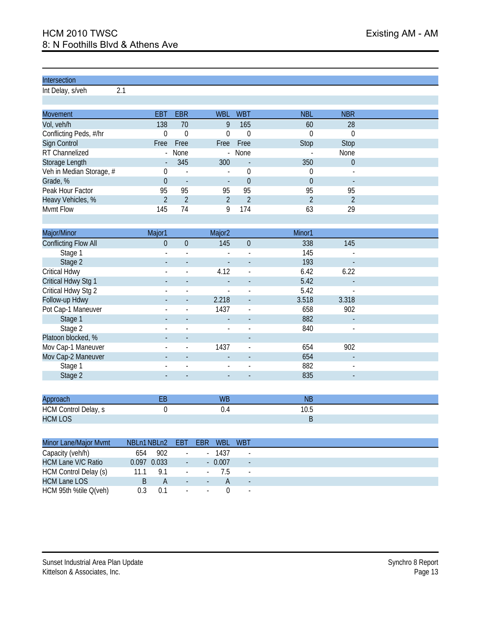Int Delay, s/veh 2.1

| <b>Movement</b>          | EBT         | <b>EBR</b>               | <b>WBL</b>               | <b>WBT</b>               | <b>NBL</b>       | <b>NBR</b>               |
|--------------------------|-------------|--------------------------|--------------------------|--------------------------|------------------|--------------------------|
| Vol, veh/h               | 138         | 70                       | 9                        | 165                      | 60               | 28                       |
| Conflicting Peds, #/hr   |             | $\theta$                 | 0                        | 0                        | $\left( \right)$ | $\theta$                 |
| Sign Control             | <b>Free</b> | Free                     | Free                     | <b>Free</b>              | Stop             | Stop                     |
| <b>RT</b> Channelized    | $\sim$      | None                     | $\blacksquare$           | None                     |                  | None                     |
| Storage Length           | ٠           | 345                      | 300                      | $\overline{\phantom{a}}$ | 350              | $\theta$                 |
| Veh in Median Storage, # |             | $\overline{\phantom{a}}$ | $\overline{\phantom{a}}$ | $\Omega$                 | 0                | $\overline{\phantom{a}}$ |
| Grade, %                 | 0           | $\overline{\phantom{a}}$ | $\overline{\phantom{a}}$ | 0                        | $\Omega$         |                          |
| Peak Hour Factor         | 95          | 95                       | 95                       | 95                       | 95               | 95                       |
| Heavy Vehicles, %        |             | $\overline{2}$           |                          |                          |                  | $\mathfrak{D}$           |
| Mymt Flow                | 145         | 74                       | Q                        | 174                      | 63               | 29                       |
|                          |             |                          |                          |                          |                  |                          |

| Major/Minor                 | Major1         |                          | Major <sub>2</sub>       |                          | Minor1 |                          |  |
|-----------------------------|----------------|--------------------------|--------------------------|--------------------------|--------|--------------------------|--|
| <b>Conflicting Flow All</b> | $\Omega$       | $\theta$                 | 145                      | $\Omega$                 | 338    | 145                      |  |
| Stage 1                     | $\blacksquare$ | $\overline{\phantom{a}}$ |                          |                          | 145    |                          |  |
| Stage 2                     |                |                          |                          |                          | 193    |                          |  |
| Critical Hdwy               |                | $\overline{a}$           | 4.12                     | $\blacksquare$           | 6.42   | 6.22                     |  |
| Critical Hdwy Stg 1         |                |                          |                          |                          | 5.42   |                          |  |
| Critical Hdwy Stg 2         |                |                          |                          |                          | 5.42   |                          |  |
| Follow-up Hdwy              |                |                          | 2.218                    | $\overline{\phantom{a}}$ | 3.518  | 3.318                    |  |
| Pot Cap-1 Maneuver          | $\blacksquare$ | $\overline{a}$           | 1437                     | $\blacksquare$           | 658    | 902                      |  |
| Stage 1                     |                |                          |                          |                          | 882    |                          |  |
| Stage 2                     |                |                          | $\overline{\phantom{a}}$ |                          | 840    | $\overline{\phantom{a}}$ |  |
| Platoon blocked, %          |                | $\overline{\phantom{a}}$ |                          | $\overline{\phantom{a}}$ |        |                          |  |
| Mov Cap-1 Maneuver          |                | $\blacksquare$           | 1437                     | $\blacksquare$           | 654    | 902                      |  |
| Mov Cap-2 Maneuver          |                |                          |                          |                          | 654    |                          |  |
| Stage 1                     | $\blacksquare$ | $\overline{\phantom{a}}$ |                          |                          | 882    | $\overline{\phantom{a}}$ |  |
| Stage 2                     |                |                          |                          |                          | 835    |                          |  |

| Approach             | <b>WB</b> | ΝE                       |  |
|----------------------|-----------|--------------------------|--|
| HCM Control Delay, s |           | 10 <sup>7</sup><br>∣ ∪.J |  |
| <b>HCM LOS</b>       |           | ப                        |  |

| Minor Lane/Major Mvmt        | NBLn1 NBLn2 EBT |             |                          | EBR                      | WBL WBT  |                          |  |
|------------------------------|-----------------|-------------|--------------------------|--------------------------|----------|--------------------------|--|
| Capacity (veh/h)             | 654             | -902        | $\overline{\phantom{a}}$ |                          | - 1437   |                          |  |
| <b>HCM Lane V/C Ratio</b>    |                 | 0.097 0.033 | $\blacksquare$           |                          | $-0.007$ | $\overline{\phantom{a}}$ |  |
| <b>HCM Control Delay (s)</b> |                 | $11.1$ 9.1  | $\sim$                   | $-1.5$                   |          | $\overline{\phantom{a}}$ |  |
| <b>HCM Lane LOS</b>          | <sub>B</sub>    | A           | 74 F                     | <b>Contract Contract</b> |          | $\overline{\phantom{a}}$ |  |
| HCM 95th %tile Q(veh)        | 0.3             | () 1        | $\sim$                   | $\overline{\phantom{a}}$ |          | -                        |  |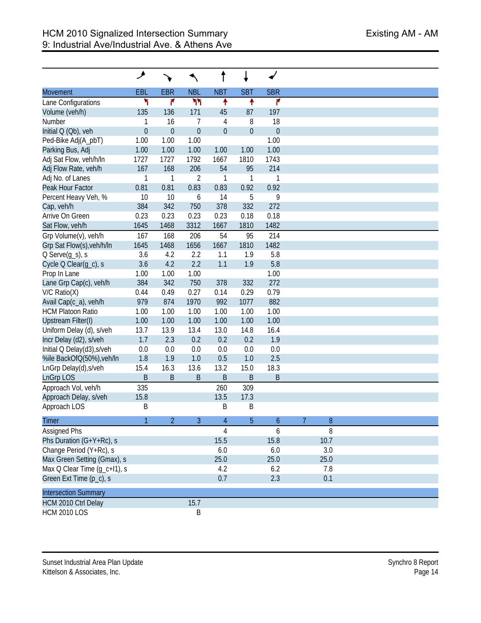|                                                      | ۸            |                | $\blacktriangle$ | t           | ↓              | $\blacktriangleright$ |        |
|------------------------------------------------------|--------------|----------------|------------------|-------------|----------------|-----------------------|--------|
| <b>Movement</b>                                      | <b>EBL</b>   | <b>EBR</b>     | <b>NBL</b>       | <b>NBT</b>  | <b>SBT</b>     | <b>SBR</b>            |        |
| Lane Configurations                                  | ۲            | ۴              | ۲٢               | ۰           | ۰              | ۴                     |        |
| Volume (veh/h)                                       | 135          | 136            | 171              | 45          | 87             | 197                   |        |
| Number                                               | 1            | 16             | 7                | 4           | 8              | 18                    |        |
| Initial Q (Qb), veh                                  | $\mathbf{0}$ | $\mathbf 0$    | $\boldsymbol{0}$ | $\mathbf 0$ | $\overline{0}$ | $\mathbf{0}$          |        |
| Ped-Bike Adj(A_pbT)                                  | 1.00         | 1.00           | 1.00             |             |                | 1.00                  |        |
| Parking Bus, Adj                                     | 1.00         | 1.00           | 1.00             | 1.00        | 1.00           | 1.00                  |        |
| Adj Sat Flow, veh/h/ln                               | 1727         | 1727           | 1792             | 1667        | 1810           | 1743                  |        |
| Adj Flow Rate, veh/h                                 | 167          | 168            | 206              | 54          | 95             | 214                   |        |
| Adj No. of Lanes                                     | 1            | 1              | 2                | 1           | 1              | 1                     |        |
| Peak Hour Factor                                     | 0.81         | 0.81           | 0.83             | 0.83        | 0.92           | 0.92                  |        |
| Percent Heavy Veh, %                                 | 10           | 10             | 6                | 14          | 5              | 9                     |        |
| Cap, veh/h                                           | 384          | 342            | 750              | 378         | 332            | 272                   |        |
| Arrive On Green                                      | 0.23         | 0.23           | 0.23             | 0.23        | 0.18           | 0.18                  |        |
| Sat Flow, veh/h                                      | 1645         | 1468           | 3312             | 1667        | 1810           | 1482                  |        |
| Grp Volume(v), veh/h                                 | 167          | 168            | 206              | 54          | 95             | 214                   |        |
| Grp Sat Flow(s), veh/h/ln                            | 1645         | 1468           | 1656             | 1667        | 1810           | 1482                  |        |
| $Q$ Serve $(g_s)$ , s                                | 3.6          | 4.2            | 2.2              | 1.1         | 1.9            | 5.8                   |        |
| Cycle Q Clear(g_c), s                                | 3.6          | 4.2            | 2.2              | 1.1         | 1.9            | 5.8                   |        |
| Prop In Lane                                         | 1.00         | 1.00           | 1.00             |             |                | 1.00                  |        |
| Lane Grp Cap(c), veh/h                               | 384          | 342            | 750              | 378         | 332            | 272                   |        |
| $V/C$ Ratio $(X)$                                    | 0.44         | 0.49           | 0.27             | 0.14        | 0.29           | 0.79                  |        |
| Avail Cap(c_a), veh/h                                | 979          | 874            | 1970             | 992         | 1077           | 882                   |        |
| <b>HCM Platoon Ratio</b>                             | 1.00         | 1.00           | 1.00             | 1.00        | 1.00           | 1.00                  |        |
| Upstream Filter(I)                                   | 1.00         | 1.00           | 1.00             | 1.00        | 1.00           | 1.00                  |        |
| Uniform Delay (d), s/veh                             | 13.7<br>1.7  | 13.9           | 13.4<br>0.2      | 13.0        | 14.8<br>0.2    | 16.4                  |        |
| Incr Delay (d2), s/veh<br>Initial Q Delay(d3), s/veh | 0.0          | 2.3<br>0.0     | 0.0              | 0.2<br>0.0  | 0.0            | 1.9<br>0.0            |        |
| %ile BackOfQ(50%), veh/In                            | 1.8          | 1.9            | 1.0              | 0.5         | 1.0            | 2.5                   |        |
| LnGrp Delay(d), s/veh                                | 15.4         | 16.3           | 13.6             | 13.2        | 15.0           | 18.3                  |        |
| <b>LnGrp LOS</b>                                     | B            | B              | B                | B           | B              | B                     |        |
| Approach Vol, veh/h                                  | 335          |                |                  | 260         | 309            |                       |        |
| Approach Delay, s/veh                                | 15.8         |                |                  | 13.5        | 17.3           |                       |        |
| Approach LOS                                         | Β            |                |                  | B           | B              |                       |        |
|                                                      |              |                |                  |             |                |                       |        |
| <b>Timer</b>                                         | $\mathbf{1}$ | $\overline{2}$ | 3                | 4           | 5              | $\boldsymbol{6}$      | 8<br>7 |
| Assigned Phs                                         |              |                |                  | 4           |                | 6                     | 8      |
| Phs Duration (G+Y+Rc), s                             |              |                |                  | 15.5        |                | 15.8                  | 10.7   |
| Change Period (Y+Rc), s                              |              |                |                  | 6.0         |                | 6.0                   | 3.0    |
| Max Green Setting (Gmax), s                          |              |                |                  | 25.0        |                | 25.0                  | 25.0   |
| Max Q Clear Time (g_c+l1), s                         |              |                |                  | 4.2         |                | 6.2                   | 7.8    |
| Green Ext Time (p_c), s                              |              |                |                  | 0.7         |                | 2.3                   | 0.1    |
| <b>Intersection Summary</b>                          |              |                |                  |             |                |                       |        |
| HCM 2010 Ctrl Delay                                  |              |                | 15.7             |             |                |                       |        |
| <b>HCM 2010 LOS</b>                                  |              |                | B                |             |                |                       |        |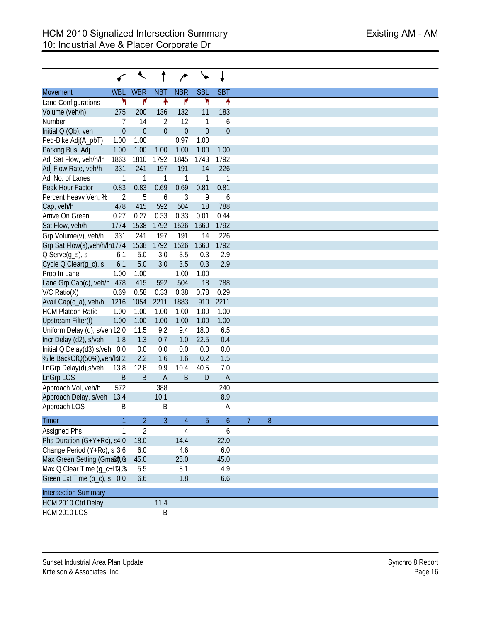|                               |                | €              |                  |             |                  | ↓              |
|-------------------------------|----------------|----------------|------------------|-------------|------------------|----------------|
| <b>Movement</b>               | <b>WBL</b>     | <b>WBR</b>     | <b>NB1</b>       | <b>NBR</b>  | <b>SBL</b>       | <b>SBT</b>     |
| Lane Configurations           | ۲              | ۴              | ↟                | ۴           | ۲                | ↟              |
| Volume (veh/h)                | 275            | 200            | 136              | 132         | 11               | 183            |
| Number                        | 7              | 14             | $\overline{2}$   | 12          | 1                | 6              |
| Initial Q (Qb), veh           | $\overline{0}$ | $\mathbf{0}$   | $\boldsymbol{0}$ | $\mathbf 0$ | $\boldsymbol{0}$ | $\overline{0}$ |
| Ped-Bike Adj(A_pbT)           | 1.00           | 1.00           |                  | 0.97        | 1.00             |                |
| Parking Bus, Adj              | 1.00           | 1.00           | 1.00             | 1.00        | 1.00             | 1.00           |
| Adj Sat Flow, veh/h/ln        | 1863           | 1810           | 1792             | 1845        | 1743             | 1792           |
| Adj Flow Rate, veh/h          | 331            | 241            | 197              | 191         | 14               | 226            |
| Adj No. of Lanes              | 1              | 1              | 1                | 1           | 1                | 1              |
| Peak Hour Factor              | 0.83           | 0.83           | 0.69             | 0.69        | 0.81             | 0.81           |
| Percent Heavy Veh, %          | $\overline{2}$ | 5              | 6                | 3           | 9                | 6              |
| Cap, veh/h                    | 478            | 415            | 592              | 504         | 18               | 788            |
| Arrive On Green               | 0.27           | 0.27           | 0.33             | 0.33        | 0.01             | 0.44           |
| Sat Flow, veh/h               | 1774           | 1538           | 1792             | 1526        | 1660             | 1792           |
| Grp Volume(v), veh/h          | 331            | 241            | 197              | 191         | 14               | 226            |
| Grp Sat Flow(s), veh/h/ln1774 |                | 1538           | 1792             | 1526        | 1660             | 1792           |
| $Q$ Serve $(g_s)$ , s         | 6.1            | 5.0            | 3.0              | 3.5         | 0.3              | 2.9            |
| Cycle Q Clear(g_c), s         | 6.1            | 5.0            | 3.0              | 3.5         | 0.3              | 2.9            |
| Prop In Lane                  | 1.00           | 1.00           |                  | 1.00        | 1.00             |                |
| Lane Grp Cap(c), veh/h 478    |                | 415            | 592              | 504         | 18               | 788            |
| $V/C$ Ratio $(X)$             | 0.69           | 0.58           | 0.33             | 0.38        | 0.78             | 0.29           |
|                               |                | 1054           | 2211             | 1883        | 910              | 2211           |
| Avail Cap(c_a), veh/h         | 1216           | 1.00           |                  | 1.00        |                  | 1.00           |
| <b>HCM Platoon Ratio</b>      | 1.00           |                | 1.00             |             | 1.00             |                |
| <b>Upstream Filter(I)</b>     | 1.00           | 1.00           | 1.00             | 1.00        | 1.00             | 1.00           |
| Uniform Delay (d), s/veh 12.0 |                | 11.5           | 9.2              | 9.4         | 18.0             | 6.5            |
| Incr Delay (d2), s/veh        | 1.8            | 1.3            | 0.7              | 1.0         | 22.5             | 0.4            |
| Initial Q Delay(d3), s/veh    | 0.0            | 0.0            | 0.0              | 0.0         | 0.0              | 0.0            |
| %ile BackOfQ(50%), veh/ln3.2  |                | 2.2            | 1.6              | 1.6         | 0.2              | 1.5            |
| LnGrp Delay(d), s/veh         | 13.8           | 12.8           | 9.9              | 10.4        | 40.5             | 7.0            |
| <b>LnGrp LOS</b>              | B              | B              | A                | B           | D                | A              |
| Approach Vol, veh/h           | 572            |                | 388              |             |                  | 240            |
| Approach Delay, s/veh         | 13.4           |                | 10.1             |             |                  | 8.9            |
| Approach LOS                  | Β              |                | B                |             |                  | A              |
| <b>Timer</b>                  | 1              | 2              | 3                | 4           | 5                | 6              |
| Assigned Phs                  | 1              | $\overline{2}$ |                  | 4           |                  | 6              |
| Phs Duration (G+Y+Rc), s4.0   |                | 18.0           |                  | 14.4        |                  | 22.0           |
| Change Period (Y+Rc), s 3.6   |                | 6.0            |                  | 4.6         |                  | 6.0            |
| Max Green Setting (Gmax0, 0   |                | 45.0           |                  | 25.0        |                  | 45.0           |
| Max Q Clear Time (g_c+l12,3s) |                | 5.5            |                  | 8.1         |                  | 4.9            |
| Green Ext Time (p_c), s 0.0   |                | 6.6            |                  | 1.8         |                  | 6.6            |
| <b>Intersection Summary</b>   |                |                |                  |             |                  |                |
|                               |                |                |                  |             |                  |                |
| HCM 2010 Ctrl Delay           |                |                | 11.4             |             |                  |                |
| <b>HCM 2010 LOS</b>           |                |                | B                |             |                  |                |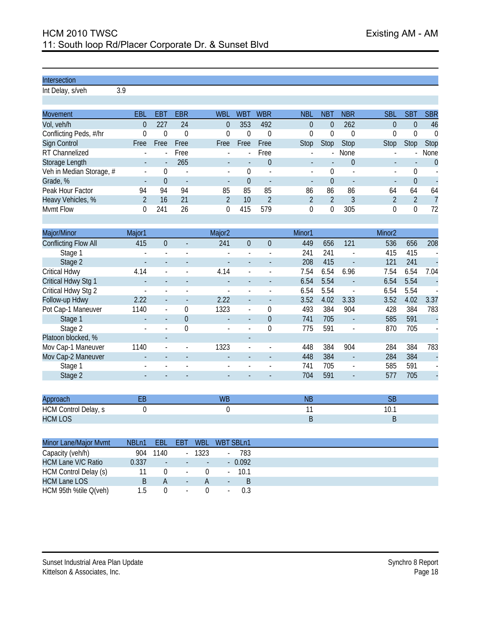Int Delay, s/veh 3.9

| <b>Movement</b>          | <b>EBL</b>               | EBT                      | <b>EBR</b>               | <b>WBL</b>               | <b>WBT</b> | <b>WBR</b>               | <b>NBL</b> | N <sub>B</sub> | <b>NBR</b>               | <b>SBL</b>               | SBT                      | <b>SBR</b>  |
|--------------------------|--------------------------|--------------------------|--------------------------|--------------------------|------------|--------------------------|------------|----------------|--------------------------|--------------------------|--------------------------|-------------|
| Vol, veh/h               | 0                        | 227                      | 24                       | 0                        | 353        | 492                      | 0          | 0              | 262                      | $\theta$                 | $\theta$                 | 46          |
| Conflicting Peds, #/hr   | 0                        | $\Omega$                 | 0                        | 0                        | 0          | $\Omega$                 | 0          | 0              | $\theta$                 | 0                        | $\theta$                 | $\Omega$    |
| <b>Sign Control</b>      | Free                     | Free                     | Free                     | Free                     | Free       | <b>Free</b>              | Stop       | Stop           | Stop                     | Stop                     | <b>Stop</b>              | <b>Stop</b> |
| RT Channelized           | $\overline{\phantom{a}}$ | $\overline{\phantom{a}}$ | Free                     | $\overline{\phantom{a}}$ | $\sim$     | Free                     |            |                | - None                   | $\overline{\phantom{a}}$ | $\sim$                   | None        |
| Storage Length           | $\overline{\phantom{a}}$ | $\overline{\phantom{a}}$ | 265                      |                          |            | $\Omega$                 |            |                | $\theta$                 |                          | $\overline{\phantom{a}}$ | $\theta$    |
| Veh in Median Storage, # | ۰                        |                          | $\overline{\phantom{a}}$ |                          |            | $\overline{\phantom{0}}$ |            | 0              | $\overline{\phantom{a}}$ | $\overline{\phantom{a}}$ | 0                        |             |
| Grade, %                 | $\overline{\phantom{a}}$ |                          | $\overline{\phantom{a}}$ | $\overline{\phantom{a}}$ |            | $\overline{\phantom{0}}$ |            | 0              | $\overline{\phantom{a}}$ | $\overline{\phantom{a}}$ | $\overline{0}$           |             |
| Peak Hour Factor         | 94                       | 94                       | 94                       | 85                       | 85         | 85                       | 86         | 86             | 86                       | 64                       | 64                       | 64          |
| Heavy Vehicles, %        |                          | 16                       | 21                       |                          | 10         |                          |            | 2              | 3                        | 2                        | $\overline{2}$           |             |
| Mymt Flow                |                          | 241                      | 26                       | 0                        | 415        | 579                      | 0          | 0              | 305                      | 0                        | $\theta$                 | 72          |
|                          |                          |                          |                          |                          |            |                          |            |                |                          |                          |                          |             |

| Major/Minor                 | Major1                   |                          |                          | Major <sub>2</sub>       |                          |          | Minor1 |      |                          | Minor <sub>2</sub> |      |      |
|-----------------------------|--------------------------|--------------------------|--------------------------|--------------------------|--------------------------|----------|--------|------|--------------------------|--------------------|------|------|
| <b>Conflicting Flow All</b> | 415                      | $\theta$                 |                          | 241                      | $\theta$                 | $\Omega$ | 449    | 656  | 121                      | 536                | 656  | 208  |
| Stage 1                     |                          | ٠                        | $\overline{\phantom{0}}$ |                          |                          |          | 241    | 241  | $\overline{\phantom{0}}$ | 415                | 415  |      |
| Stage 2                     | $\overline{\phantom{a}}$ |                          |                          |                          |                          |          | 208    | 415  |                          | 121                | 241  |      |
| <b>Critical Hdwy</b>        | 4.14                     | $\overline{\phantom{0}}$ | $\overline{a}$           | 4.14                     | $\blacksquare$           |          | 7.54   | 6.54 | 6.96                     | 7.54               | 6.54 | 7.04 |
| Critical Hdwy Stg 1         |                          |                          |                          |                          |                          |          | 6.54   | 5.54 |                          | 6.54               | 5.54 |      |
| Critical Hdwy Stg 2         |                          |                          |                          |                          |                          |          | 6.54   | 5.54 |                          | 6.54               | 5.54 |      |
| Follow-up Hdwy              | 2.22                     | $\overline{\phantom{a}}$ |                          | 2.22                     | $\overline{\phantom{0}}$ |          | 3.52   | 4.02 | 3.33                     | 3.52               | 4.02 | 3.37 |
| Pot Cap-1 Maneuver          | 1140                     | $\blacksquare$           | 0                        | 1323                     | $\overline{\phantom{0}}$ |          | 493    | 384  | 904                      | 428                | 384  | 783  |
| Stage 1                     | $\overline{\phantom{a}}$ | $\overline{\phantom{a}}$ | $\theta$                 | $\overline{\phantom{a}}$ | $\overline{\phantom{a}}$ | $\Omega$ | 741    | 705  | $\overline{\phantom{a}}$ | 585                | 591  |      |
| Stage 2                     |                          | $\overline{\phantom{a}}$ | $\theta$                 | $\overline{a}$           |                          | $\Omega$ | 775    | 591  | $\overline{\phantom{a}}$ | 870                | 705  |      |
| Platoon blocked, %          |                          | $\overline{\phantom{a}}$ |                          |                          | $\overline{\phantom{a}}$ |          |        |      |                          |                    |      |      |
| Mov Cap-1 Maneuver          | 1140                     | $\overline{\phantom{a}}$ |                          | 1323                     |                          |          | 448    | 384  | 904                      | 284                | 384  | 783  |
| Mov Cap-2 Maneuver          | $\overline{\phantom{a}}$ |                          |                          |                          |                          |          | 448    | 384  |                          | 284                | 384  |      |
| Stage 1                     | $\blacksquare$           | ٠                        |                          |                          |                          |          | 741    | 705  |                          | 585                | 591  |      |
| Stage 2                     |                          |                          |                          |                          |                          |          | 704    | 591  |                          | 577                | 705  |      |

| Appro                | WE | ٧E | JЕ    |
|----------------------|----|----|-------|
| HCM Control Delay, s |    |    | I V.I |
| <b>HCML</b>          |    | ╺  |       |

| <b>Minor Lane/Major Mvmt</b> | NBLn1        | EBL          | <b>FBT</b>               | <b>WBL</b> | WBT SBLn1                |          |
|------------------------------|--------------|--------------|--------------------------|------------|--------------------------|----------|
| Capacity (veh/h)             | 904          | 1140         |                          | $-1323$    | $\sim$                   | - 783    |
| <b>HCM Lane V/C Ratio</b>    | 0.337        | $\sim$       | $\sim$                   | $\sim$     |                          | $-0.092$ |
| <b>HCM Control Delay (s)</b> |              |              | $\overline{\phantom{a}}$ |            |                          | - 10.1   |
| <b>HCM Lane LOS</b>          | <sub>B</sub> | $\mathsf{A}$ | . п.                     | A          |                          |          |
| HCM 95th %tile Q(veh)        | 1.5          |              | $\overline{\phantom{a}}$ |            | $\overline{\phantom{a}}$ | -0.3     |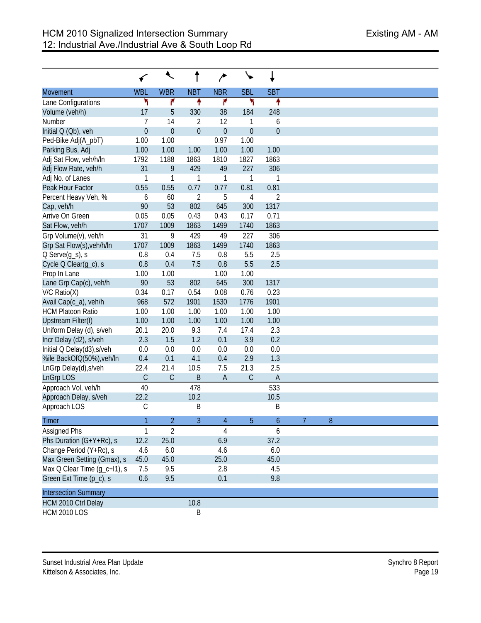|                              | ✓              | €              |                | $\overline{\phantom{a}}$ |             | ł                |
|------------------------------|----------------|----------------|----------------|--------------------------|-------------|------------------|
| <b>Movement</b>              | <b>WBL</b>     | <b>WBR</b>     | <b>NBT</b>     | <b>NBR</b>               | <b>SBL</b>  | <b>SBT</b>       |
| Lane Configurations          | ۳              | ۴              | ↟              | ۴                        | ۲           | ۰                |
| Volume (veh/h)               | 17             | 5              | 330            | 38                       | 184         | 248              |
| Number                       | $\overline{7}$ | 14             | 2              | 12                       | 1           | 6                |
| Initial Q (Qb), veh          | $\mathbf 0$    | $\theta$       | $\mathbf{0}$   | $\boldsymbol{0}$         | $\theta$    | $\mathbf 0$      |
| Ped-Bike Adj(A_pbT)          | 1.00           | 1.00           |                | 0.97                     | 1.00        |                  |
| Parking Bus, Adj             | 1.00           | 1.00           | 1.00           | 1.00                     | 1.00        | 1.00             |
| Adj Sat Flow, veh/h/ln       | 1792           | 1188           | 1863           | 1810                     | 1827        | 1863             |
| Adj Flow Rate, veh/h         | 31             | 9              | 429            | 49                       | 227         | 306              |
| Adj No. of Lanes             | 1              | 1              | 1              | 1                        | 1           | 1                |
| Peak Hour Factor             | 0.55           | 0.55           | 0.77           | 0.77                     | 0.81        | 0.81             |
| Percent Heavy Veh, %         | 6              | 60             | $\overline{2}$ | 5                        | 4           | 2                |
| Cap, veh/h                   | 90             | 53             | 802            | 645                      | 300         | 1317             |
| Arrive On Green              | 0.05           | 0.05           | 0.43           | 0.43                     | 0.17        | 0.71             |
| Sat Flow, veh/h              | 1707           | 1009           | 1863           | 1499                     | 1740        | 1863             |
| Grp Volume(v), veh/h         | 31             | 9              | 429            | 49                       | 227         | 306              |
| Grp Sat Flow(s), veh/h/ln    | 1707           | 1009           | 1863           | 1499                     | 1740        | 1863             |
| $Q$ Serve $(g_s)$ , s        | 0.8            | 0.4            | 7.5            | 0.8                      | 5.5         | 2.5              |
| Cycle Q Clear(g_c), s        | 0.8            | 0.4            | 7.5            | 0.8                      | 5.5         | 2.5              |
| Prop In Lane                 | 1.00           | 1.00           |                | 1.00                     | 1.00        |                  |
| Lane Grp Cap(c), veh/h       | 90             | 53             | 802            | 645                      | 300         | 1317             |
| $V/C$ Ratio $(X)$            | 0.34           | 0.17           | 0.54           | 0.08                     | 0.76        | 0.23             |
| Avail Cap(c_a), veh/h        | 968            | 572            | 1901           | 1530                     | 1776        | 1901             |
| <b>HCM Platoon Ratio</b>     | 1.00           | 1.00           | 1.00           | 1.00                     | 1.00        | 1.00             |
| <b>Upstream Filter(I)</b>    | 1.00           | 1.00           | 1.00           | 1.00                     | 1.00        | 1.00             |
| Uniform Delay (d), s/veh     | 20.1           | 20.0           | 9.3            | 7.4                      | 17.4        | 2.3              |
| Incr Delay (d2), s/veh       | 2.3            | 1.5            | 1.2            | 0.1                      | 3.9         | 0.2              |
| Initial Q Delay(d3), s/veh   | 0.0            | 0.0            | 0.0            | 0.0                      | 0.0         | 0.0              |
| %ile BackOfQ(50%), veh/In    | 0.4            | 0.1            | 4.1            | 0.4                      | 2.9         | 1.3              |
| LnGrp Delay(d), s/veh        | 22.4           | 21.4           | 10.5           | 7.5                      | 21.3        | 2.5              |
| <b>LnGrp LOS</b>             | $\mathcal{C}$  | $\mathsf C$    | B              | $\mathsf A$              | $\mathsf C$ | $\overline{A}$   |
| Approach Vol, veh/h          | 40             |                | 478            |                          |             | 533              |
| Approach Delay, s/veh        | 22.2           |                | 10.2           |                          |             | 10.5             |
| Approach LOS                 | C              |                | B              |                          |             | B                |
| <b>Timer</b>                 | $\mathbf{1}$   | $\overline{2}$ | 3              | $\overline{4}$           | 5           | $\boldsymbol{6}$ |
| Assigned Phs                 | 1              | $\overline{2}$ |                | $\overline{4}$           |             | 6                |
| Phs Duration (G+Y+Rc), s     | 12.2           | 25.0           |                | 6.9                      |             | 37.2             |
| Change Period (Y+Rc), s      | 4.6            | 6.0            |                | 4.6                      |             | 6.0              |
| Max Green Setting (Gmax), s  | 45.0           | 45.0           |                | 25.0                     |             | 45.0             |
| Max Q Clear Time (q_c+l1), s | 7.5            | 9.5            |                | 2.8                      |             | 4.5              |
| Green Ext Time (p_c), s      | 0.6            | 9.5            |                | 0.1                      |             | 9.8              |
| <b>Intersection Summary</b>  |                |                |                |                          |             |                  |
| HCM 2010 Ctrl Delay          |                |                | 10.8           |                          |             |                  |
| <b>HCM 2010 LOS</b>          |                |                | B              |                          |             |                  |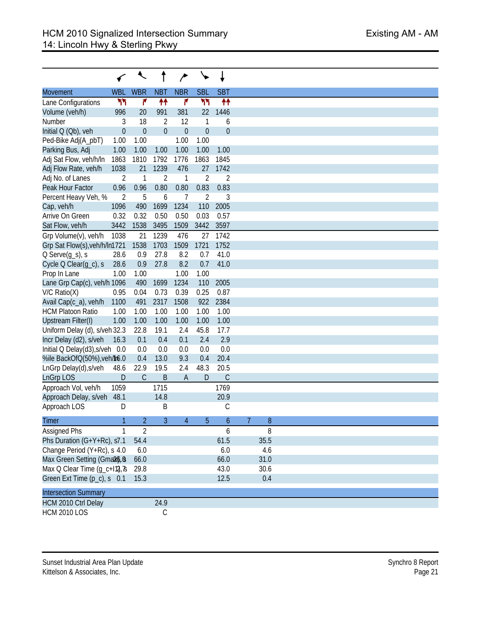|                                |                |                |                | ∕              |                | ↓              |      |
|--------------------------------|----------------|----------------|----------------|----------------|----------------|----------------|------|
| <b>Movement</b>                | <b>WBL</b>     | <b>WBR</b>     | <b>NBT</b>     | <b>NBR</b>     | <b>SBL</b>     | <b>SBT</b>     |      |
| Lane Configurations            | ۲٢             | ۴              | ₩              | ۴              | ٦٢             | ₩              |      |
| Volume (veh/h)                 | 996            | 20             | 991            | 381            | 22             | 1446           |      |
| Number                         | 3              | 18             | 2              | 12             | 1              | 6              |      |
| Initial Q (Qb), veh            | $\mathbf{0}$   | $\theta$       | $\theta$       | $\theta$       | $\theta$       | $\overline{0}$ |      |
| Ped-Bike Adj(A_pbT)            | 1.00           | 1.00           |                | 1.00           | 1.00           |                |      |
| Parking Bus, Adj               | 1.00           | 1.00           | 1.00           | 1.00           | 1.00           | 1.00           |      |
| Adj Sat Flow, veh/h/ln         | 1863           | 1810           | 1792           | 1776           | 1863           | 1845           |      |
| Adj Flow Rate, veh/h           | 1038           | 21             | 1239           | 476            | 27             | 1742           |      |
| Adj No. of Lanes               | $\overline{2}$ | 1              | $\overline{2}$ | 1              | $\overline{2}$ | $\overline{2}$ |      |
| Peak Hour Factor               | 0.96           | 0.96           | 0.80           | 0.80           | 0.83           | 0.83           |      |
| Percent Heavy Veh, %           | $\overline{2}$ | 5              | 6              | $\overline{7}$ | $\overline{2}$ | 3              |      |
| Cap, veh/h                     | 1096           | 490            | 1699           | 1234           | 110            | 2005           |      |
| Arrive On Green                | 0.32           | 0.32           | 0.50           | 0.50           | 0.03           | 0.57           |      |
| Sat Flow, veh/h                | 3442           | 1538           | 3495           | 1509           | 3442           | 3597           |      |
| Grp Volume(v), veh/h           | 1038           | 21             | 1239           | 476            | 27             | 1742           |      |
| Grp Sat Flow(s), veh/h/ln1721  |                | 1538           | 1703           | 1509           | 1721           | 1752           |      |
| $Q$ Serve $(g_s)$ , s          | 28.6           | 0.9            | 27.8           | 8.2            | 0.7            | 41.0           |      |
| Cycle Q Clear(g_c), s          | 28.6           | 0.9            | 27.8           | 8.2            | 0.7            | 41.0           |      |
| Prop In Lane                   | 1.00           | 1.00           |                | 1.00           | 1.00           |                |      |
| Lane Grp Cap(c), veh/h 1096    |                | 490            |                |                | 110            | 2005           |      |
| $V/C$ Ratio $(X)$              |                |                | 1699           | 1234           |                |                |      |
|                                | 0.95           | 0.04           | 0.73           | 0.39           | 0.25           | 0.87           |      |
| Avail Cap(c_a), veh/h          | 1100           | 491            | 2317           | 1508           | 922            | 2384           |      |
| <b>HCM Platoon Ratio</b>       | 1.00           | 1.00           | 1.00           | 1.00           | 1.00           | 1.00           |      |
| Upstream Filter(I)             | 1.00           | 1.00           | 1.00           | 1.00           | 1.00           | 1.00           |      |
| Uniform Delay (d), s/veh 32.3  |                | 22.8           | 19.1           | 2.4            | 45.8           | 17.7           |      |
| Incr Delay (d2), s/veh         | 16.3           | 0.1            | 0.4            | 0.1            | 2.4            | 2.9            |      |
| Initial Q Delay(d3), s/veh 0.0 |                | 0.0            | 0.0            | 0.0            | 0.0            | 0.0            |      |
| %ile BackOfQ(50%), veh/lin6.0  |                | 0.4            | 13.0           | 9.3            | 0.4            | 20.4           |      |
| LnGrp Delay(d), s/veh          | 48.6           | 22.9           | 19.5           | 2.4            | 48.3           | 20.5           |      |
| <b>LnGrp LOS</b>               | D              | C              | B              | A              | D              | $\mathsf{C}$   |      |
| Approach Vol, veh/h            | 1059           |                | 1715           |                |                | 1769           |      |
| Approach Delay, s/veh 48.1     |                |                | 14.8           |                |                | 20.9           |      |
| Approach LOS                   | D              |                | Β              |                |                | С              |      |
| <b>Timer</b>                   | 1              | $\overline{2}$ | 3              | $\overline{A}$ | 5              | 6              | 7    |
| Assigned Phs                   | 1              | $\overline{2}$ |                |                |                | 6              |      |
| Phs Duration (G+Y+Rc), s7.1    |                | 54.4           |                |                |                | 61.5           | 35.5 |
| Change Period (Y+Rc), s 4.0    |                | 6.0            |                |                |                | 6.0            |      |
| Max Green Setting (Gmaxy, G    |                | 66.0           |                |                |                | 66.0           | 31.0 |
|                                |                |                |                |                |                |                |      |
| Max Q Clear Time (g_c+l12, 75  |                | 29.8           |                |                |                | 43.0           | 30.6 |
| Green Ext Time (p_c), s 0.1    |                | 15.3           |                |                |                | 12.5           |      |
| <b>Intersection Summary</b>    |                |                |                |                |                |                |      |
| HCM 2010 Ctrl Delay            |                |                | 24.9           |                |                |                |      |
| <b>HCM 2010 LOS</b>            |                |                | $\mathsf C$    |                |                |                |      |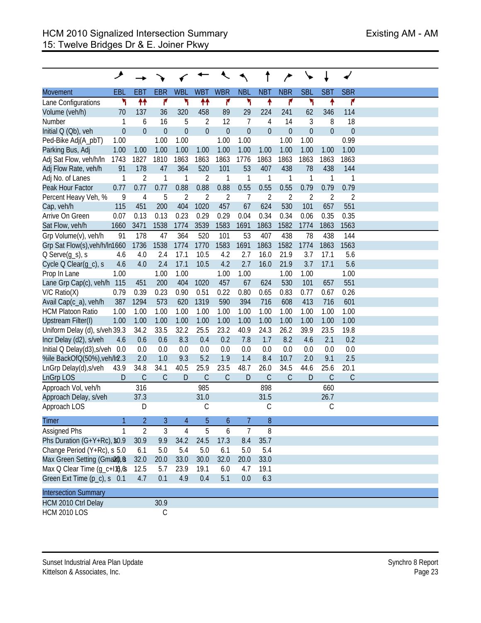| ۸                                  |                  |                  |                  |                  |                |                  |                | ۸              |                  |                |                |  |
|------------------------------------|------------------|------------------|------------------|------------------|----------------|------------------|----------------|----------------|------------------|----------------|----------------|--|
| <b>EBL</b><br><b>Movement</b>      | <b>EBT</b>       | <b>EBR</b>       | <b>WBL</b>       | <b>WBT</b>       | <b>WBR</b>     | <b>NBL</b>       | <b>NBT</b>     | <b>NBR</b>     | <b>SBL</b>       | <b>SBT</b>     | <b>SBR</b>     |  |
| ۲<br>Lane Configurations           | ₩                | ۴                | ۲                | ₩                | 7              | ۲                | ۰              | 7              | ۲                | ۰              | ۴              |  |
| 70<br>Volume (veh/h)               | 137              | 36               | 320              | 458              | 89             | 29               | 224            | 241            | 62               | 346            | 114            |  |
| Number<br>$\mathbf 1$              | 6                | 16               | 5                | 2                | 12             | 7                | $\overline{4}$ | 14             | 3                | 8              | 18             |  |
| $\mathbf 0$<br>Initial Q (Qb), veh | $\boldsymbol{0}$ | $\boldsymbol{0}$ | $\boldsymbol{0}$ | $\boldsymbol{0}$ | $\overline{0}$ | $\boldsymbol{0}$ | $\mathbf 0$    | $\mathbf 0$    | $\boldsymbol{0}$ | $\mathbf{0}$   | $\mathbf 0$    |  |
| Ped-Bike Adj(A_pbT)<br>1.00        |                  | 1.00             | 1.00             |                  | 1.00           | 1.00             |                | 1.00           | 1.00             |                | 0.99           |  |
| Parking Bus, Adj<br>1.00           | 1.00             | 1.00             | 1.00             | 1.00             | 1.00           | 1.00             | 1.00           | 1.00           | 1.00             | 1.00           | 1.00           |  |
| Adj Sat Flow, veh/h/ln<br>1743     | 1827             | 1810             | 1863             | 1863             | 1863           | 1776             | 1863           | 1863           | 1863             | 1863           | 1863           |  |
| Adj Flow Rate, veh/h<br>91         | 178              | 47               | 364              | 520              | 101            | 53               | 407            | 438            | 78               | 438            | 144            |  |
| Adj No. of Lanes<br>$\mathbf{1}$   | $\overline{2}$   | $\mathbf{1}$     | 1                | $\overline{2}$   | 1              | 1                | $\mathbf{1}$   | 1              | $\mathbf{1}$     | $\mathbf{1}$   | 1              |  |
| Peak Hour Factor<br>0.77           | 0.77             | 0.77             | 0.88             | 0.88             | 0.88           | 0.55             | 0.55           | 0.55           | 0.79             | 0.79           | 0.79           |  |
| 9<br>Percent Heavy Veh, %          | 4                | 5                | $\overline{2}$   | $\overline{2}$   | $\overline{2}$ | 7                | 2              | $\overline{2}$ | $\overline{2}$   | $\overline{2}$ | $\overline{2}$ |  |
| 115<br>Cap, veh/h                  | 451              | 200              | 404              | 1020             | 457            | 67               | 624            | 530            | 101              | 657            | 551            |  |
| Arrive On Green<br>0.07            | 0.13             | 0.13             | 0.23             | 0.29             | 0.29           | 0.04             | 0.34           | 0.34           | 0.06             | 0.35           | 0.35           |  |
| Sat Flow, veh/h<br>1660            | 3471             | 1538             | 1774             | 3539             | 1583           | 1691             | 1863           | 1582           | 1774             | 1863           | 1563           |  |
| Grp Volume(v), veh/h<br>91         | 178              | 47               | 364              | 520              | 101            | 53               | 407            | 438            | 78               | 438            | 144            |  |
| Grp Sat Flow(s), veh/h/ln1660      | 1736             | 1538             | 1774             | 1770             | 1583           | 1691             | 1863           | 1582           | 1774             | 1863           | 1563           |  |
| $Q$ Serve $(g_s)$ , s<br>4.6       | 4.0              | 2.4              | 17.1             | 10.5             | 4.2            | 2.7              | 16.0           | 21.9           | 3.7              | 17.1           | 5.6            |  |
| 4.6<br>Cycle Q Clear(g_c), s       | 4.0              | 2.4              | 17.1             | 10.5             | 4.2            | 2.7              | 16.0           | 21.9           | 3.7              | 17.1           | 5.6            |  |
| Prop In Lane<br>1.00               |                  | 1.00             | 1.00             |                  | 1.00           | 1.00             |                | 1.00           | 1.00             |                | 1.00           |  |
| Lane Grp Cap(c), veh/h<br>115      | 451              | 200              | 404              | 1020             | 457            | 67               | 624            | 530            | 101              | 657            | 551            |  |
| $V/C$ Ratio $(X)$<br>0.79          | 0.39             | 0.23             | 0.90             | 0.51             | 0.22           | 0.80             | 0.65           | 0.83           | 0.77             | 0.67           | 0.26           |  |
| Avail Cap(c_a), veh/h<br>387       | 1294             | 573              | 620              | 1319             | 590            | 394              | 716            | 608            | 413              | 716            | 601            |  |
| <b>HCM Platoon Ratio</b><br>1.00   | 1.00             | 1.00             | 1.00             | 1.00             | 1.00           | 1.00             | 1.00           | 1.00           | 1.00             | 1.00           | 1.00           |  |
| Upstream Filter(I)<br>1.00         | 1.00             | 1.00             | 1.00             | 1.00             | 1.00           | 1.00             | 1.00           | 1.00           | 1.00             | 1.00           | 1.00           |  |
| Uniform Delay (d), s/veh 39.3      | 34.2             | 33.5             | 32.2             | 25.5             | 23.2           | 40.9             | 24.3           | 26.2           | 39.9             | 23.5           | 19.8           |  |
| Incr Delay (d2), s/veh<br>4.6      | 0.6              | 0.6              | 8.3              | 0.4              | 0.2            | 7.8              | 1.7            | 8.2            | 4.6              | 2.1            | 0.2            |  |
| Initial Q Delay(d3), s/veh<br>0.0  | 0.0              | 0.0              | 0.0              | 0.0              | 0.0            | 0.0              | 0.0            | 0.0            | 0.0              | 0.0            | 0.0            |  |
| %ile BackOfQ(50%), veh/ln2.3       | 2.0              | 1.0              | 9.3              | 5.2              | 1.9            | 1.4              | 8.4            | 10.7           | 2.0              | 9.1            | 2.5            |  |
| LnGrp Delay(d), s/veh<br>43.9      | 34.8             | 34.1             | 40.5             | 25.9             | 23.5           | 48.7             | 26.0           | 34.5           | 44.6             | 25.6           | 20.1           |  |
| D<br>LnGrp LOS                     | $\mathsf{C}$     | $\mathsf{C}$     | D                | $\mathsf{C}$     | $\mathsf{C}$   | D                | $\mathcal{C}$  | $\mathsf C$    | D                | $\mathcal{C}$  | $\mathsf{C}$   |  |
| Approach Vol, veh/h                | 316              |                  |                  | 985              |                |                  | 898            |                |                  | 660            |                |  |
| Approach Delay, s/veh              | 37.3             |                  |                  | 31.0             |                |                  | 31.5           |                |                  | 26.7           |                |  |
| Approach LOS                       | D                |                  |                  | C                |                |                  | C              |                |                  | $\mathsf C$    |                |  |
| <b>Timer</b><br>$\overline{1}$     | $\overline{2}$   | 3                | $\overline{4}$   | 5                | 6              | 7                | 8              |                |                  |                |                |  |
| Assigned Phs<br>1                  | $\overline{2}$   | 3                | 4                | 5                | 6              | $\overline{7}$   | 8              |                |                  |                |                |  |
| Phs Duration (G+Y+Rc), \$0.9       | 30.9             | 9.9              | 34.2             | 24.5             | 17.3           | 8.4              | 35.7           |                |                  |                |                |  |
| Change Period (Y+Rc), s 5.0        | 6.1              | 5.0              | 5.4              | 5.0              | 6.1            | 5.0              | 5.4            |                |                  |                |                |  |
| Max Green Setting (Gmax0, 0        | 32.0             | 20.0             | 33.0             | 30.0             | 32.0           | 20.0             | 33.0           |                |                  |                |                |  |
| Max Q Clear Time (q_c+l10,6s)      | 12.5             | 5.7              | 23.9             | 19.1             | 6.0            | 4.7              | 19.1           |                |                  |                |                |  |
| Green Ext Time (p_c), s 0.1        | 4.7              | 0.1              | 4.9              | 0.4              | 5.1            | 0.0              | 6.3            |                |                  |                |                |  |
| <b>Intersection Summary</b>        |                  |                  |                  |                  |                |                  |                |                |                  |                |                |  |
| HCM 2010 Ctrl Delay                |                  | 30.9             |                  |                  |                |                  |                |                |                  |                |                |  |
| <b>HCM 2010 LOS</b>                |                  | $\mathsf C$      |                  |                  |                |                  |                |                |                  |                |                |  |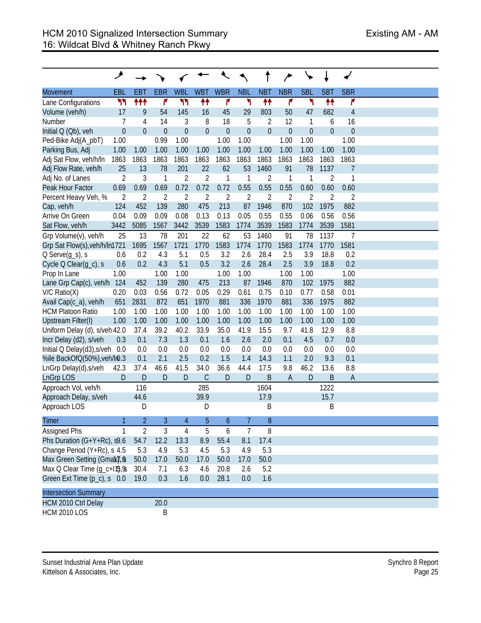| و                                      |                |                  |                  |                  |                  |                  |                  |                  |                  |                  |                |  |
|----------------------------------------|----------------|------------------|------------------|------------------|------------------|------------------|------------------|------------------|------------------|------------------|----------------|--|
| EBL<br><b>Movement</b>                 | <b>EBT</b>     | <b>EBR</b>       | <b>WBL</b>       | <b>WBT</b>       | <b>WBR</b>       | <b>NBL</b>       | <b>NBT</b>       | <b>NBR</b>       | <b>SBL</b>       | <b>SBT</b>       | <b>SBR</b>     |  |
| ۲٢<br>Lane Configurations              | 111            | ۴                | ٦٢               | ₩                | 7                | ۲                | 林                | 7                | ٦                | 林                | ۴              |  |
| 17<br>Volume (veh/h)                   | 9              | 54               | 145              | 16               | 45               | 29               | 803              | 50               | 47               | 682              | $\overline{4}$ |  |
| $\overline{7}$<br>Number               | 4              | 14               | 3                | 8                | 18               | 5                | $\overline{2}$   | 12               | $\mathbf{1}$     | 6                | 16             |  |
| $\theta$<br>Initial Q (Qb), veh        | $\overline{0}$ | $\boldsymbol{0}$ | $\boldsymbol{0}$ | $\boldsymbol{0}$ | $\boldsymbol{0}$ | $\boldsymbol{0}$ | $\boldsymbol{0}$ | $\boldsymbol{0}$ | $\boldsymbol{0}$ | $\boldsymbol{0}$ | $\mathbf 0$    |  |
| Ped-Bike Adj(A_pbT)<br>1.00            |                | 0.99             | 1.00             |                  | 1.00             | 1.00             |                  | 1.00             | 1.00             |                  | 1.00           |  |
| 1.00<br>Parking Bus, Adj               | 1.00           | 1.00             | 1.00             | 1.00             | 1.00             | 1.00             | 1.00             | 1.00             | 1.00             | 1.00             | 1.00           |  |
| Adj Sat Flow, veh/h/ln<br>1863         | 1863           | 1863             | 1863             | 1863             | 1863             | 1863             | 1863             | 1863             | 1863             | 1863             | 1863           |  |
| 25<br>Adj Flow Rate, veh/h             | 13             | 78               | 201              | 22               | 62               | 53               | 1460             | 91               | 78               | 1137             | 7              |  |
| 2<br>Adj No. of Lanes                  | 3              | 1                | $\overline{2}$   | $\overline{2}$   | 1                | 1                | $\overline{2}$   | 1                | $\mathbf{1}$     | $\overline{2}$   | 1              |  |
| Peak Hour Factor<br>0.69               | 0.69           | 0.69             | 0.72             | 0.72             | 0.72             | 0.55             | 0.55             | 0.55             | 0.60             | 0.60             | 0.60           |  |
| $\overline{2}$<br>Percent Heavy Veh, % | 2              | 2                | $\overline{2}$   | $\overline{2}$   | $\overline{2}$   | $\overline{2}$   | $\overline{2}$   | $\overline{2}$   | $\overline{2}$   | $\overline{2}$   | $\overline{2}$ |  |
| 124<br>Cap, veh/h                      | 452            | 139              | 280              | 475              | 213              | 87               | 1946             | 870              | 102              | 1975             | 882            |  |
| Arrive On Green<br>0.04                | 0.09           | 0.09             | 0.08             | 0.13             | 0.13             | 0.05             | 0.55             | 0.55             | 0.06             | 0.56             | 0.56           |  |
| Sat Flow, veh/h<br>3442                | 5085           | 1567             | 3442             | 3539             | 1583             | 1774             | 3539             | 1583             | 1774             | 3539             | 1581           |  |
| 25<br>Grp Volume(v), veh/h             | 13             | 78               | 201              | 22               | 62               | 53               | 1460             | 91               | 78               | 1137             | $\overline{7}$ |  |
| Grp Sat Flow(s), veh/h/ln1721          | 1695           | 1567             | 1721             | 1770             | 1583             | 1774             | 1770             | 1583             | 1774             | 1770             | 1581           |  |
| $Q$ Serve $(g_s)$ , s<br>0.6           | 0.2            | 4.3              | 5.1              | 0.5              | 3.2              | 2.6              | 28.4             | 2.5              | 3.9              | 18.8             | 0.2            |  |
| Cycle Q Clear(g_c), s<br>0.6           | 0.2            | 4.3              | 5.1              | 0.5              | 3.2              | 2.6              | 28.4             | 2.5              | 3.9              | 18.8             | 0.2            |  |
| Prop In Lane<br>1.00                   |                | 1.00             | 1.00             |                  | 1.00             | 1.00             |                  | 1.00             | 1.00             |                  | 1.00           |  |
| Lane Grp Cap(c), veh/h<br>124          | 452            | 139              | 280              | 475              | 213              | 87               | 1946             | 870              | 102              | 1975             | 882            |  |
| $V/C$ Ratio $(X)$<br>0.20              | 0.03           | 0.56             | 0.72             | 0.05             | 0.29             | 0.61             | 0.75             | 0.10             | 0.77             | 0.58             | 0.01           |  |
| Avail Cap(c_a), veh/h<br>651           | 2831           | 872              | 651              | 1970             | 881              | 336              | 1970             | 881              | 336              | 1975             | 882            |  |
| <b>HCM Platoon Ratio</b><br>1.00       | 1.00           | 1.00             | 1.00             | 1.00             | 1.00             | 1.00             | 1.00             | 1.00             | 1.00             | 1.00             | 1.00           |  |
| Upstream Filter(I)<br>1.00             | 1.00           | 1.00             | 1.00             | 1.00             | 1.00             | 1.00             | 1.00             | 1.00             | 1.00             | 1.00             | 1.00           |  |
| Uniform Delay (d), s/veh 42.0          | 37.4           | 39.2             | 40.2             | 33.9             | 35.0             | 41.9             | 15.5             | 9.7              | 41.8             | 12.9             | 8.8            |  |
| Incr Delay (d2), s/veh<br>0.3          | 0.1            | 7.3              | 1.3              | 0.1              | 1.6              | 2.6              | 2.0              | 0.1              | 4.5              | 0.7              | 0.0            |  |
| Initial Q Delay(d3), s/veh<br>0.0      | 0.0            | 0.0              | 0.0              | 0.0              | 0.0              | 0.0              | 0.0              | 0.0              | 0.0              | 0.0              | 0.0            |  |
| %ile BackOfQ(50%), veh/lr0.3           | 0.1            | 2.1              | 2.5              | 0.2              | 1.5              | 1.4              | 14.3             | 1.1              | 2.0              | 9.3              | 0.1            |  |
| LnGrp Delay(d), s/veh<br>42.3          | 37.4           | 46.6             | 41.5             | 34.0             | 36.6             | 44.4             | 17.5             | 9.8              | 46.2             | 13.6             | 8.8            |  |
| D<br>LnGrp LOS                         | D              | D                | D                | $\mathsf C$      | D                | D                | B                | $\overline{A}$   | D                | B                | $\overline{A}$ |  |
| Approach Vol, veh/h                    | 116            |                  |                  | 285              |                  |                  | 1604             |                  |                  | 1222             |                |  |
| Approach Delay, s/veh                  | 44.6           |                  |                  | 39.9             |                  |                  | 17.9             |                  |                  | 15.7             |                |  |
| Approach LOS                           | D              |                  |                  | D                |                  |                  | Β                |                  |                  | Β                |                |  |
| <b>Timer</b>                           | $\overline{2}$ | 3                | 4                | 5                | 6                | 7                | 8                |                  |                  |                  |                |  |
| Assigned Phs<br>1                      | 2              | 3                | 4                | 5                | 6                | 7                | 8                |                  |                  |                  |                |  |
| Phs Duration (G+Y+Rc), s9.6            | 54.7           | 12.2             | 13.3             | 8.9              | 55.4             | 8.1              | 17.4             |                  |                  |                  |                |  |
| Change Period (Y+Rc), s 4.5            | 5.3            | 4.9              | 5.3              | 4.5              | 5.3              | 4.9              | 5.3              |                  |                  |                  |                |  |
| Max Green Setting (Gmak), &            | 50.0           | 17.0             | 50.0             | 17.0             | 50.0             | 17.0             | 50.0             |                  |                  |                  |                |  |
| Max Q Clear Time (g_c+l15,%            | 30.4           | 7.1              | 6.3              | 4.6              | 20.8             | 2.6              | 5.2              |                  |                  |                  |                |  |
| Green Ext Time (p_c), s 0.0            | 19.0           | 0.3              | 1.6              | 0.0              | 28.1             | 0.0              | 1.6              |                  |                  |                  |                |  |
| <b>Intersection Summary</b>            |                |                  |                  |                  |                  |                  |                  |                  |                  |                  |                |  |
| HCM 2010 Ctrl Delay                    |                | 20.0             |                  |                  |                  |                  |                  |                  |                  |                  |                |  |
| <b>HCM 2010 LOS</b>                    |                | Β                |                  |                  |                  |                  |                  |                  |                  |                  |                |  |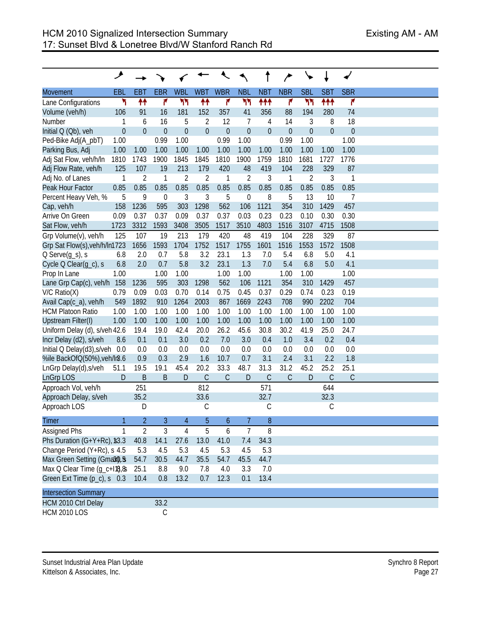| مر                                  |                 |                  |                |                  |                |                  |                  |               |                |                |            |
|-------------------------------------|-----------------|------------------|----------------|------------------|----------------|------------------|------------------|---------------|----------------|----------------|------------|
| EBL<br><b>Movement</b>              | EB <sub>1</sub> | <b>EBR</b>       | <b>WBL</b>     | WB <sub>1</sub>  | <b>WBR</b>     | <b>NBL</b>       | NB <sub>1</sub>  | <b>NBR</b>    | <b>SBL</b>     | <b>SB1</b>     | <b>SBR</b> |
| ۲<br>Lane Configurations            | ₩               | ۴                | ۲٢             | ₩                | 7              | ź                | 111              | ۴             | ź              | 111            | ۴          |
| 106<br>Volume (veh/h)               | 91              | 16               | 181            | 152              | 357            | 41               | 356              | 88            | 194            | 280            | 74         |
| Number<br>1                         | 6               | 16               | 5              | $\overline{2}$   | 12             | $\overline{1}$   | 4                | 14            | 3              | 8              | 18         |
| $\mathbf{0}$<br>Initial Q (Qb), veh | $\mathbf 0$     | $\boldsymbol{0}$ | $\mathbf 0$    | $\boldsymbol{0}$ | $\overline{0}$ | $\mathbf 0$      | $\boldsymbol{0}$ | $\theta$      | $\theta$       | $\overline{0}$ | $\theta$   |
| 1.00<br>Ped-Bike Adj(A_pbT)         |                 | 0.99             | 1.00           |                  | 0.99           | 1.00             |                  | 0.99          | 1.00           |                | 1.00       |
| 1.00<br>Parking Bus, Adj            | 1.00            | 1.00             | 1.00           | 1.00             | 1.00           | 1.00             | 1.00             | 1.00          | 1.00           | 1.00           | 1.00       |
| Adj Sat Flow, veh/h/ln<br>1810      | 1743            | 1900             | 1845           | 1845             | 1810           | 1900             | 1759             | 1810          | 1681           | 1727           | 1776       |
| 125<br>Adj Flow Rate, veh/h         | 107             | 19               | 213            | 179              | 420            | 48               | 419              | 104           | 228            | 329            | 87         |
| Adj No. of Lanes<br>1               | $\overline{2}$  | $\mathbf{1}$     | $\overline{2}$ | $\overline{2}$   | 1              | $\overline{2}$   | 3                | 1             | $\overline{2}$ | 3              | 1          |
| Peak Hour Factor<br>0.85            | 0.85            | 0.85             | 0.85           | 0.85             | 0.85           | 0.85             | 0.85             | 0.85          | 0.85           | 0.85           | 0.85       |
| Percent Heavy Veh, %<br>5           | 9               | $\boldsymbol{0}$ | $\mathfrak{Z}$ | $\mathfrak{Z}$   | 5              | $\boldsymbol{0}$ | 8                | 5             | 13             | 10             | 7          |
| 158<br>Cap, veh/h                   | 1236            | 595              | 303            | 1298             | 562            | 106              | 1121             | 354           | 310            | 1429           | 457        |
| Arrive On Green<br>0.09             | 0.37            | 0.37             | 0.09           | 0.37             | 0.37           | 0.03             | 0.23             | 0.23          | 0.10           | 0.30           | 0.30       |
| 1723<br>Sat Flow, veh/h             | 3312            | 1593             | 3408           | 3505             | 1517           | 3510             | 4803             | 1516          | 3107           | 4715           | 1508       |
| 125<br>Grp Volume(v), veh/h         | 107             | 19               | 213            | 179              | 420            | 48               | 419              | 104           | 228            | 329            | 87         |
| Grp Sat Flow(s), veh/h/ln1723       | 1656            | 1593             | 1704           | 1752             | 1517           | 1755             | 1601             | 1516          | 1553           | 1572           | 1508       |
| $Q$ Serve $(g_s)$ , s<br>6.8        | 2.0             | 0.7              | 5.8            | 3.2              | 23.1           | 1.3              | 7.0              | 5.4           | 6.8            | 5.0            | 4.1        |
| 6.8<br>Cycle Q Clear(g_c), s        | 2.0             | 0.7              | 5.8            | 3.2              | 23.1           | 1.3              | 7.0              | 5.4           | 6.8            | 5.0            | 4.1        |
| 1.00<br>Prop In Lane                |                 | 1.00             | 1.00           |                  | 1.00           | 1.00             |                  | 1.00          | 1.00           |                | 1.00       |
| Lane Grp Cap(c), veh/h<br>158       | 1236            | 595              | 303            | 1298             | 562            | 106              | 1121             | 354           | 310            | 1429           | 457        |
| $V/C$ Ratio $(X)$<br>0.79           | 0.09            | 0.03             | 0.70           | 0.14             | 0.75           | 0.45             | 0.37             | 0.29          | 0.74           | 0.23           | 0.19       |
| Avail Cap(c_a), veh/h<br>549        | 1892            | 910              | 1264           | 2003             | 867            | 1669             | 2243             | 708           | 990            | 2202           | 704        |
| <b>HCM Platoon Ratio</b><br>1.00    | 1.00            | 1.00             | 1.00           | 1.00             | 1.00           | 1.00             | 1.00             | 1.00          | 1.00           | 1.00           | 1.00       |
| Upstream Filter(I)<br>1.00          | 1.00            | 1.00             | 1.00           | 1.00             | 1.00           | 1.00             | 1.00             | 1.00          | 1.00           | 1.00           | 1.00       |
| Uniform Delay (d), s/veh 42.6       | 19.4            | 19.0             | 42.4           | 20.0             | 26.2           | 45.6             | 30.8             | 30.2          | 41.9           | 25.0           | 24.7       |
| Incr Delay (d2), s/veh<br>8.6       | 0.1             | 0.1              | 3.0            | 0.2              | 7.0            | 3.0              | 0.4              | 1.0           | 3.4            | 0.2            | 0.4        |
| Initial Q Delay(d3), s/veh 0.0      | 0.0             | 0.0              | 0.0            | 0.0              | 0.0            | 0.0              | 0.0              | 0.0           | 0.0            | 0.0            | 0.0        |
| %ile BackOfQ(50%), veh/ln3.6        | 0.9             | 0.3              | 2.9            | 1.6              | 10.7           | 0.7              | 3.1              | 2.4           | 3.1            | 2.2            | 1.8        |
| LnGrp Delay(d), s/veh<br>51.1       | 19.5            | 19.1             | 45.4           | 20.2             | 33.3           | 48.7             | 31.3             | 31.2          | 45.2           | 25.2           | 25.1       |
| <b>LnGrp LOS</b><br>D               | B               | B                | D              | $\mathcal{C}$    | $\mathsf{C}$   | D                | $\mathsf C$      | $\mathcal{C}$ | D              | $\mathsf{C}$   | С          |
| Approach Vol, veh/h                 | 251             |                  |                | 812              |                |                  | 571              |               |                | 644            |            |
| Approach Delay, s/veh               | 35.2            |                  |                | 33.6             |                |                  | 32.7             |               |                | 32.3           |            |
| Approach LOS                        | D               |                  |                | С                |                |                  | $\mathsf C$      |               |                | С              |            |
| <b>Timer</b><br>1                   | $\overline{2}$  | 3                | 4              | 5                | 6              | 7                | 8                |               |                |                |            |
| Assigned Phs<br>1                   | $\overline{2}$  | 3                | 4              | 5                | 6              | 7                | 8                |               |                |                |            |
| Phs Duration (G+Y+Rc), \$3.3        | 40.8            | 14.1             | 27.6           | 13.0             | 41.0           | 7.4              | 34.3             |               |                |                |            |
| Change Period (Y+Rc), s 4.5         | 5.3             | 4.5              | 5.3            | 4.5              | 5.3            | 4.5              | 5.3              |               |                |                |            |
| Max Green Setting (Gmax0, 5         | 54.7            | 30.5             | 44.7           | 35.5             | 54.7           | 45.5             | 44.7             |               |                |                |            |
| Max Q Clear Time (g_c+118,8s        | 25.1            | 8.8              | 9.0            | 7.8              | 4.0            | 3.3              | 7.0              |               |                |                |            |
| Green Ext Time (p_c), s 0.3         | 10.4            | 0.8              | 13.2           | 0.7              | 12.3           | 0.1              | 13.4             |               |                |                |            |
| <b>Intersection Summary</b>         |                 |                  |                |                  |                |                  |                  |               |                |                |            |
| HCM 2010 Ctrl Delay                 |                 | 33.2             |                |                  |                |                  |                  |               |                |                |            |
| <b>HCM 2010 LOS</b>                 |                 | С                |                |                  |                |                  |                  |               |                |                |            |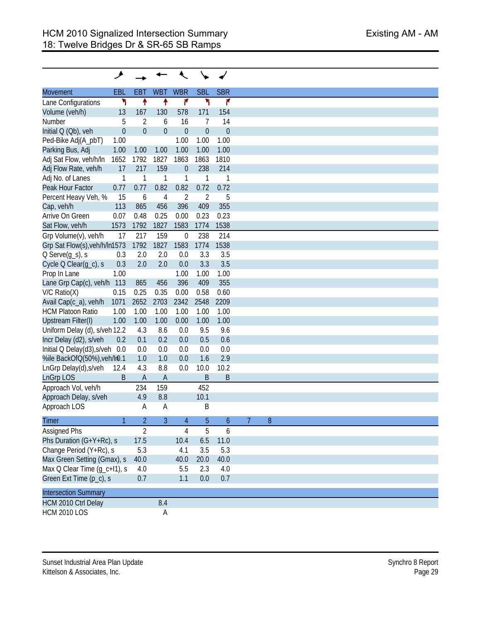|                                | و            |                  |                  |                  |                  |                  |
|--------------------------------|--------------|------------------|------------------|------------------|------------------|------------------|
| <b>Movement</b>                | <b>EBL</b>   | <b>EBT</b>       | <b>WB1</b>       | <b>WBR</b>       | <b>SBL</b>       | <b>SBR</b>       |
| Lane Configurations            | ۲            | ↟                | ٠                | ۴                | ۲                | ۴                |
| Volume (veh/h)                 | 13           | 167              | 130              | 578              | 171              | 154              |
| Number                         | 5            | 2                | 6                | 16               | 7                | 14               |
| Initial Q (Qb), veh            | $\mathbf{0}$ | $\boldsymbol{0}$ | $\boldsymbol{0}$ | $\boldsymbol{0}$ | $\boldsymbol{0}$ | $\boldsymbol{0}$ |
| Ped-Bike Adj(A_pbT)            | 1.00         |                  |                  | 1.00             | 1.00             | 1.00             |
| Parking Bus, Adj               | 1.00         | 1.00             | 1.00             | 1.00             | 1.00             | 1.00             |
| Adj Sat Flow, veh/h/ln         | 1652         | 1792             | 1827             | 1863             | 1863             | 1810             |
| Adj Flow Rate, veh/h           | 17           | 217              | 159              | $\boldsymbol{0}$ | 238              | 214              |
| Adj No. of Lanes               | $\mathbf{1}$ | 1                | 1                | 1                | $\mathbf{1}$     | 1                |
| Peak Hour Factor               | 0.77         | 0.77             | 0.82             | 0.82             | 0.72             | 0.72             |
| Percent Heavy Veh, %           | 15           | 6                | 4                | $\overline{2}$   | $\overline{2}$   | 5                |
| Cap, veh/h                     | 113          | 865              | 456              | 396              | 409              | 355              |
| Arrive On Green                | 0.07         | 0.48             | 0.25             | 0.00             | 0.23             | 0.23             |
| Sat Flow, veh/h                | 1573         | 1792             | 1827             | 1583             | 1774             | 1538             |
| Grp Volume(v), veh/h           | 17           | 217              | 159              | $\mathbf 0$      | 238              | 214              |
| Grp Sat Flow(s), veh/h/ln1573  |              | 1792             | 1827             | 1583             | 1774             | 1538             |
| $Q$ Serve $(g_s)$ , s          | 0.3          | 2.0              | 2.0              | 0.0              | 3.3              | 3.5              |
| Cycle Q Clear(g_c), s          | 0.3          | 2.0              | 2.0              | 0.0              | 3.3              | 3.5              |
| Prop In Lane                   | 1.00         |                  |                  | 1.00             | 1.00             | 1.00             |
| Lane Grp Cap(c), veh/h 113     |              | 865              | 456              | 396              | 409              | 355              |
| $V/C$ Ratio $(X)$              | 0.15         | 0.25             | 0.35             | 0.00             | 0.58             | 0.60             |
| Avail Cap(c_a), veh/h          | 1071         | 2652             | 2703             | 2342             | 2548             | 2209             |
| <b>HCM Platoon Ratio</b>       | 1.00         | 1.00             | 1.00             | 1.00             | 1.00             | 1.00             |
| Upstream Filter(I)             | 1.00         | 1.00             | 1.00             | 0.00             | 1.00             | 1.00             |
| Uniform Delay (d), s/veh 12.2  |              | 4.3              | 8.6              | 0.0              | 9.5              | 9.6              |
|                                | 0.2          | 0.1              | 0.2              |                  | 0.5              | 0.6              |
| Incr Delay (d2), s/veh         |              |                  |                  | 0.0              |                  | 0.0              |
| Initial Q Delay(d3), s/veh 0.0 |              | 0.0              | 0.0              | 0.0              | 0.0              |                  |
| %ile BackOfQ(50%), veh/lr0.1   |              | 1.0              | 1.0              | 0.0              | 1.6              | 2.9              |
| LnGrp Delay(d), s/veh          | 12.4         | 4.3              | 8.8              | 0.0              | 10.0             | 10.2             |
| <b>LnGrp LOS</b>               | B            | $\overline{A}$   | Α                |                  | Β                | B                |
| Approach Vol, veh/h            |              | 234              | 159              |                  | 452              |                  |
| Approach Delay, s/veh          |              | 4.9              | 8.8              |                  | 10.1             |                  |
| Approach LOS                   |              | Α                | А                |                  | Β                |                  |
| Timer                          | 1            | $\overline{2}$   | 3                | 4                | 5                | 6                |
| Assigned Phs                   |              | $\overline{2}$   |                  | 4                | 5                | 6                |
| Phs Duration (G+Y+Rc), s       |              | 17.5             |                  | 10.4             | 6.5              | 11.0             |
| Change Period (Y+Rc), s        |              | 5.3              |                  | 4.1              | 3.5              | 5.3              |
| Max Green Setting (Gmax), s    |              | 40.0             |                  | 40.0             | 20.0             | 40.0             |
| Max Q Clear Time (g_c+l1), s   |              | 4.0              |                  | 5.5              | 2.3              | 4.0              |
| Green Ext Time (p_c), s        |              | 0.7              |                  | 1.1              | 0.0              | 0.7              |
|                                |              |                  |                  |                  |                  |                  |
| <b>Intersection Summary</b>    |              |                  |                  |                  |                  |                  |
| HCM 2010 Ctrl Delay            |              |                  | 8.4              |                  |                  |                  |
| <b>HCM 2010 LOS</b>            |              |                  | Α                |                  |                  |                  |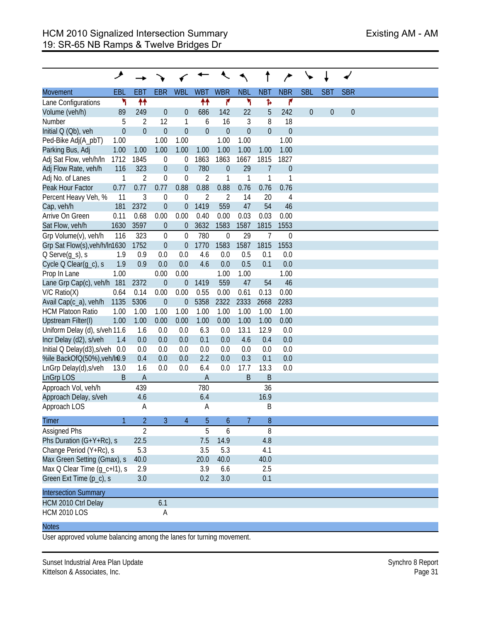| ۸                                                          |                |                  |                          |                |                  |             |                |                  |                  |            |                  |  |
|------------------------------------------------------------|----------------|------------------|--------------------------|----------------|------------------|-------------|----------------|------------------|------------------|------------|------------------|--|
| <b>Movement</b><br>EBL                                     | <b>EBT</b>     | <b>EBR</b>       | <b>WBL</b>               | <b>WBT</b>     | <b>WBR</b>       | <b>NBL</b>  | <b>NBT</b>     | <b>NBR</b>       | <b>SBL</b>       | <b>SBT</b> | <b>SBR</b>       |  |
| ۲<br>Lane Configurations                                   | 林              |                  |                          | ₩              | ۴                | ۲           | Ъ              | ۴                |                  |            |                  |  |
| 89<br>Volume (veh/h)                                       | 249            | $\boldsymbol{0}$ | $\boldsymbol{0}$         | 686            | 142              | 22          | $\overline{5}$ | 242              | $\boldsymbol{0}$ | $\theta$   | $\boldsymbol{0}$ |  |
| 5<br>Number                                                | $\overline{2}$ | 12               | 1                        | 6              | 16               | 3           | 8              | 18               |                  |            |                  |  |
| $\mathbf{0}$<br>Initial Q (Qb), veh                        | $\mathbf{0}$   | $\theta$         | $\theta$                 | $\mathbf 0$    | $\mathbf 0$      | $\mathbf 0$ | $\mathbf 0$    | $\boldsymbol{0}$ |                  |            |                  |  |
| Ped-Bike Adj(A_pbT)<br>1.00                                |                | 1.00             | 1.00                     |                | 1.00             | 1.00        |                | 1.00             |                  |            |                  |  |
| 1.00<br>Parking Bus, Adj                                   | 1.00           | 1.00             | 1.00                     | 1.00           | 1.00             | 1.00        | 1.00           | 1.00             |                  |            |                  |  |
| Adj Sat Flow, veh/h/ln<br>1712                             | 1845           | 0                | 0                        | 1863           | 1863             | 1667        | 1815           | 1827             |                  |            |                  |  |
| 116<br>Adj Flow Rate, veh/h                                | 323            | $\boldsymbol{0}$ | $\boldsymbol{0}$         | 780            | $\boldsymbol{0}$ | 29          | $\overline{1}$ | $\boldsymbol{0}$ |                  |            |                  |  |
| Adj No. of Lanes<br>1                                      | 2              | 0                | $\boldsymbol{0}$         | 2              | 1                | 1           | 1              | 1                |                  |            |                  |  |
| Peak Hour Factor<br>0.77                                   | 0.77           | 0.77             | 0.88                     | 0.88           | 0.88             | 0.76        | 0.76           | 0.76             |                  |            |                  |  |
| 11<br>Percent Heavy Veh, %                                 | $\sqrt{3}$     | $\boldsymbol{0}$ | 0                        | 2              | 2                | 14          | 20             | 4                |                  |            |                  |  |
| Cap, veh/h<br>181                                          | 2372           | $\theta$         | $\boldsymbol{0}$         | 1419           | 559              | 47          | 54             | 46               |                  |            |                  |  |
| Arrive On Green<br>0.11                                    | 0.68           | 0.00             | 0.00                     | 0.40           | 0.00             | 0.03        | 0.03           | 0.00             |                  |            |                  |  |
| 1630<br>Sat Flow, veh/h                                    | 3597           | $\theta$         | $\boldsymbol{0}$         | 3632           | 1583             | 1587        | 1815           | 1553             |                  |            |                  |  |
| Grp Volume(v), veh/h<br>116                                | 323            | $\mathbf 0$      | $\mathbf 0$              | 780            | $\mathbf 0$      | 29          | $\overline{7}$ | $\mathbf 0$      |                  |            |                  |  |
| Grp Sat Flow(s), veh/h/ln1630                              | 1752           | $\boldsymbol{0}$ | $\boldsymbol{0}$         | 1770           | 1583             | 1587        | 1815           | 1553             |                  |            |                  |  |
| $Q$ Serve $(q_s)$ , s<br>1.9                               | 0.9            | 0.0              | 0.0                      | 4.6            | 0.0              | 0.5         | 0.1            | 0.0              |                  |            |                  |  |
| Cycle Q Clear(g_c), s<br>1.9                               | 0.9            | 0.0              | 0.0                      | 4.6            | 0.0              | 0.5         | 0.1            | 0.0              |                  |            |                  |  |
| 1.00<br>Prop In Lane                                       |                | 0.00<br>$\theta$ | 0.00<br>$\boldsymbol{0}$ | 1419           | 1.00<br>559      | 1.00<br>47  | 54             | 1.00<br>46       |                  |            |                  |  |
| Lane Grp Cap(c), veh/h<br>181<br>$V/C$ Ratio $(X)$<br>0.64 | 2372<br>0.14   | 0.00             | 0.00                     | 0.55           | 0.00             | 0.61        | 0.13           | 0.00             |                  |            |                  |  |
| Avail Cap(c_a), veh/h<br>1135                              | 5306           | $\boldsymbol{0}$ | $\boldsymbol{0}$         | 5358           | 2322             | 2333        | 2668           | 2283             |                  |            |                  |  |
| <b>HCM Platoon Ratio</b><br>1.00                           | 1.00           | 1.00             | 1.00                     | 1.00           | 1.00             | 1.00        | 1.00           | 1.00             |                  |            |                  |  |
| Upstream Filter(I)<br>1.00                                 | 1.00           | 0.00             | 0.00                     | 1.00           | 0.00             | 1.00        | 1.00           | 0.00             |                  |            |                  |  |
| Uniform Delay (d), s/veh 11.6                              | 1.6            | 0.0              | 0.0                      | 6.3            | 0.0              | 13.1        | 12.9           | 0.0              |                  |            |                  |  |
| Incr Delay (d2), s/veh<br>1.4                              | 0.0            | 0.0              | 0.0                      | 0.1            | 0.0              | 4.6         | 0.4            | 0.0              |                  |            |                  |  |
| Initial Q Delay(d3), s/veh<br>0.0                          | 0.0            | 0.0              | 0.0                      | 0.0            | 0.0              | 0.0         | 0.0            | 0.0              |                  |            |                  |  |
| %ile BackOfQ(50%), veh/lr0.9                               | 0.4            | 0.0              | 0.0                      | 2.2            | 0.0              | 0.3         | 0.1            | 0.0              |                  |            |                  |  |
| LnGrp Delay(d), s/veh<br>13.0                              | 1.6            | 0.0              | 0.0                      | 6.4            | 0.0              | 17.7        | 13.3           | 0.0              |                  |            |                  |  |
| B<br><b>LnGrp LOS</b>                                      | $\overline{A}$ |                  |                          | A              |                  | B           | B              |                  |                  |            |                  |  |
| Approach Vol, veh/h                                        | 439            |                  |                          | 780            |                  |             | 36             |                  |                  |            |                  |  |
| Approach Delay, s/veh                                      | 4.6            |                  |                          | 6.4            |                  |             | 16.9           |                  |                  |            |                  |  |
| Approach LOS                                               | A              |                  |                          | A              |                  |             | B              |                  |                  |            |                  |  |
| <b>Timer</b><br>1                                          | $\overline{2}$ | 3                | 4                        | $\overline{5}$ | 6                | 7           | 8              |                  |                  |            |                  |  |
| Assigned Phs                                               | $\overline{2}$ |                  |                          | 5              | 6                |             | 8              |                  |                  |            |                  |  |
| Phs Duration (G+Y+Rc), s                                   | 22.5           |                  |                          | 7.5            | 14.9             |             | 4.8            |                  |                  |            |                  |  |
| Change Period (Y+Rc), s                                    | 5.3            |                  |                          | 3.5            | 5.3              |             | 4.1            |                  |                  |            |                  |  |
| Max Green Setting (Gmax), s                                | 40.0           |                  |                          | 20.0           | 40.0             |             | 40.0           |                  |                  |            |                  |  |
| Max Q Clear Time (q_c+l1), s                               | 2.9            |                  |                          | 3.9            | 6.6              |             | 2.5            |                  |                  |            |                  |  |
| Green Ext Time (p_c), s                                    | 3.0            |                  |                          | 0.2            | 3.0              |             | 0.1            |                  |                  |            |                  |  |
| <b>Intersection Summary</b>                                |                |                  |                          |                |                  |             |                |                  |                  |            |                  |  |
| HCM 2010 Ctrl Delay                                        |                | 6.1              |                          |                |                  |             |                |                  |                  |            |                  |  |
| <b>HCM 2010 LOS</b>                                        |                | A                |                          |                |                  |             |                |                  |                  |            |                  |  |
| <b>Notes</b>                                               |                |                  |                          |                |                  |             |                |                  |                  |            |                  |  |

User approved volume balancing among the lanes for turning movement.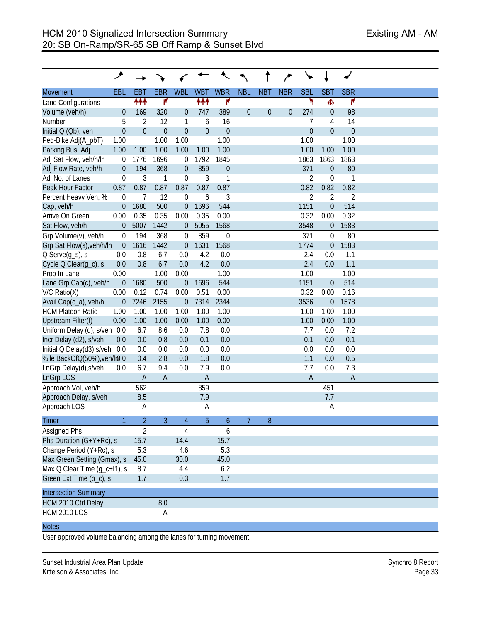|                              | ۸                |                  |                  | ✔                |                  |                  |                  | t                | م                |                  | ↓                |                  |
|------------------------------|------------------|------------------|------------------|------------------|------------------|------------------|------------------|------------------|------------------|------------------|------------------|------------------|
| <b>Movement</b>              | EBL              | <b>EBT</b>       | <b>EBR</b>       | <b>WBL</b>       | <b>WBT</b>       | <b>WBR</b>       | <b>NBL</b>       | <b>NBT</b>       | <b>NBR</b>       | <b>SBL</b>       | <b>SBT</b>       | <b>SBR</b>       |
| Lane Configurations          |                  | 111              | ۴                |                  | 111              | 7                |                  |                  |                  | ۲                | ф,               | ۴                |
| Volume (veh/h)               | $\boldsymbol{0}$ | 169              | 320              | $\mathbf 0$      | 747              | 389              | $\boldsymbol{0}$ | $\boldsymbol{0}$ | $\boldsymbol{0}$ | 274              | $\boldsymbol{0}$ | 98               |
| Number                       | 5                | $\overline{2}$   | 12               | 1                | 6                | 16               |                  |                  |                  | 7                | 4                | 14               |
| Initial Q (Qb), veh          | $\boldsymbol{0}$ | $\boldsymbol{0}$ | $\boldsymbol{0}$ | $\overline{0}$   | $\boldsymbol{0}$ | $\mathbf{0}$     |                  |                  |                  | $\boldsymbol{0}$ | $\boldsymbol{0}$ | $\boldsymbol{0}$ |
| Ped-Bike Adj(A_pbT)          | 1.00             |                  | 1.00             | 1.00             |                  | 1.00             |                  |                  |                  | 1.00             |                  | 1.00             |
| Parking Bus, Adj             | 1.00             | 1.00             | 1.00             | 1.00             | 1.00             | 1.00             |                  |                  |                  | 1.00             | 1.00             | 1.00             |
| Adj Sat Flow, veh/h/ln       | $\mathbf 0$      | 1776             | 1696             | 0                | 1792             | 1845             |                  |                  |                  | 1863             | 1863             | 1863             |
| Adj Flow Rate, veh/h         | $\boldsymbol{0}$ | 194              | 368              | $\boldsymbol{0}$ | 859              | $\boldsymbol{0}$ |                  |                  |                  | 371              | $\boldsymbol{0}$ | 80               |
| Adj No. of Lanes             | $\boldsymbol{0}$ | 3                | 1                | $\mathbf 0$      | 3                | 1                |                  |                  |                  | $\overline{2}$   | $\boldsymbol{0}$ | 1                |
| Peak Hour Factor             | 0.87             | 0.87             | 0.87             | 0.87             | 0.87             | 0.87             |                  |                  |                  | 0.82             | 0.82             | 0.82             |
| Percent Heavy Veh, %         | $\mathbf 0$      | 7                | 12               | $\theta$         | 6                | 3                |                  |                  |                  | $\overline{2}$   | $\overline{2}$   | $\overline{2}$   |
| Cap, veh/h                   | $\boldsymbol{0}$ | 1680             | 500              | 0                | 1696             | 544              |                  |                  |                  | 1151             | $\boldsymbol{0}$ | 514              |
| Arrive On Green              | 0.00             | 0.35             | 0.35             | 0.00             | 0.35             | 0.00             |                  |                  |                  | 0.32             | 0.00             | 0.32             |
| Sat Flow, veh/h              | $\boldsymbol{0}$ | 5007             | 1442             | 0                | 5055             | 1568             |                  |                  |                  | 3548             | $\theta$         | 1583             |
| Grp Volume(v), veh/h         | $\boldsymbol{0}$ | 194              | 368              | $\boldsymbol{0}$ | 859              | $\boldsymbol{0}$ |                  |                  |                  | 371              | $\boldsymbol{0}$ | 80               |
| Grp Sat Flow(s), veh/h/ln    | $\boldsymbol{0}$ | 1616             | 1442             |                  | 1631             | 1568             |                  |                  |                  | 1774             | $\mathbf 0$      | 1583             |
|                              |                  |                  | 6.7              | $\boldsymbol{0}$ | 4.2              | 0.0              |                  |                  |                  | 2.4              | 0.0              | 1.1              |
| $Q$ Serve $(g_s)$ , s        | 0.0              | 0.8              |                  | 0.0              | 4.2              |                  |                  |                  |                  | 2.4              |                  | 1.1              |
| Cycle Q Clear(g_c), s        | 0.0              | 0.8              | 6.7              | 0.0              |                  | 0.0              |                  |                  |                  |                  | 0.0              |                  |
| Prop In Lane                 | 0.00             |                  | 1.00             | 0.00             |                  | 1.00             |                  |                  |                  | 1.00             |                  | 1.00             |
| Lane Grp Cap(c), veh/h       | $\boldsymbol{0}$ | 1680             | 500              | $\boldsymbol{0}$ | 1696             | 544              |                  |                  |                  | 1151             | $\boldsymbol{0}$ | 514              |
| $V/C$ Ratio $(X)$            | 0.00             | 0.12             | 0.74             | 0.00             | 0.51             | 0.00             |                  |                  |                  | 0.32             | 0.00             | 0.16             |
| Avail Cap(c_a), veh/h        | $\boldsymbol{0}$ | 7246             | 2155             | $\boldsymbol{0}$ | 7314             | 2344             |                  |                  |                  | 3536             | $\theta$         | 1578             |
| <b>HCM Platoon Ratio</b>     | 1.00             | 1.00             | 1.00             | 1.00             | 1.00             | 1.00             |                  |                  |                  | 1.00             | 1.00             | 1.00             |
| Upstream Filter(I)           | 0.00             | 1.00             | 1.00             | 0.00             | 1.00             | 0.00             |                  |                  |                  | 1.00             | 0.00             | 1.00             |
| Uniform Delay (d), s/veh 0.0 |                  | 6.7              | 8.6              | 0.0              | 7.8              | 0.0              |                  |                  |                  | 7.7              | 0.0              | 7.2              |
| Incr Delay (d2), s/veh       | 0.0              | 0.0              | 0.8              | 0.0              | 0.1              | 0.0              |                  |                  |                  | 0.1              | 0.0              | 0.1              |
| Initial Q Delay(d3), s/veh   | 0.0              | 0.0              | 0.0              | 0.0              | 0.0              | 0.0              |                  |                  |                  | 0.0              | 0.0              | 0.0              |
| %ile BackOfQ(50%), veh/lr0.0 |                  | 0.4              | 2.8              | 0.0              | 1.8              | 0.0              |                  |                  |                  | 1.1              | 0.0              | 0.5              |
| LnGrp Delay(d), s/veh        | 0.0              | 6.7              | 9.4              | 0.0              | 7.9              | 0.0              |                  |                  |                  | 7.7              | 0.0              | 7.3              |
| <b>LnGrp LOS</b>             |                  | $\mathsf{A}$     | $\mathsf{A}$     |                  | $\overline{A}$   |                  |                  |                  |                  | $\overline{A}$   |                  | $\overline{A}$   |
| Approach Vol, veh/h          |                  | 562              |                  |                  | 859              |                  |                  |                  |                  |                  | 451              |                  |
| Approach Delay, s/veh        |                  | 8.5              |                  |                  | 7.9              |                  |                  |                  |                  |                  | 7.7              |                  |
| Approach LOS                 |                  | Α                |                  |                  | A                |                  |                  |                  |                  |                  | Α                |                  |
| Timer                        |                  |                  | 3                | 4                | 5                | 6                |                  | 8                |                  |                  |                  |                  |
| Assigned Phs                 |                  | 2                |                  | 4                |                  | 6                |                  |                  |                  |                  |                  |                  |
| Phs Duration (G+Y+Rc), s     |                  | 15.7             |                  | 14.4             |                  | 15.7             |                  |                  |                  |                  |                  |                  |
| Change Period (Y+Rc), s      |                  | 5.3              |                  | 4.6              |                  | 5.3              |                  |                  |                  |                  |                  |                  |
| Max Green Setting (Gmax), s  |                  | 45.0             |                  | 30.0             |                  | 45.0             |                  |                  |                  |                  |                  |                  |
| Max Q Clear Time (g_c+l1), s |                  | 8.7              |                  | 4.4              |                  | 6.2              |                  |                  |                  |                  |                  |                  |
| Green Ext Time (p_c), s      |                  | 1.7              |                  | 0.3              |                  | 1.7              |                  |                  |                  |                  |                  |                  |
| <b>Intersection Summary</b>  |                  |                  |                  |                  |                  |                  |                  |                  |                  |                  |                  |                  |
| HCM 2010 Ctrl Delay          |                  |                  | 8.0              |                  |                  |                  |                  |                  |                  |                  |                  |                  |
| <b>HCM 2010 LOS</b>          |                  |                  | Α                |                  |                  |                  |                  |                  |                  |                  |                  |                  |
|                              |                  |                  |                  |                  |                  |                  |                  |                  |                  |                  |                  |                  |

**Notes** 

User approved volume balancing among the lanes for turning movement.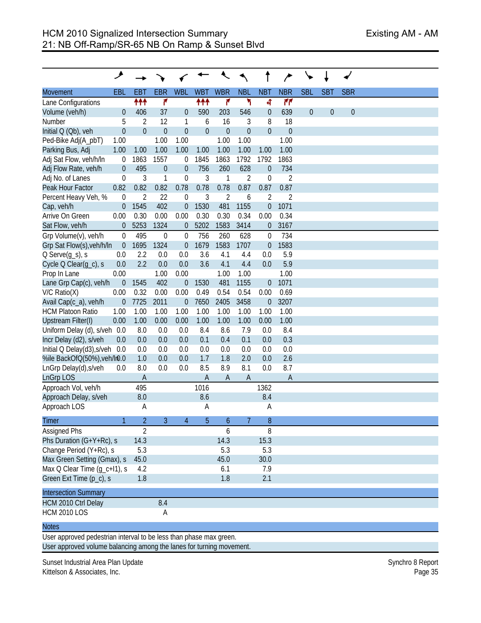|                                                                    | هر               |                |              |                  |                  |                  |                | t                | م              |                  |                  | ✔                |  |
|--------------------------------------------------------------------|------------------|----------------|--------------|------------------|------------------|------------------|----------------|------------------|----------------|------------------|------------------|------------------|--|
| <b>Movement</b>                                                    | EBL              | <b>EBT</b>     | <b>EBR</b>   | <b>WBL</b>       | <b>WBT</b>       | <b>WBR</b>       | <b>NBL</b>     | <b>NBT</b>       | <b>NBR</b>     | <b>SBL</b>       | <b>SBT</b>       | <b>SBR</b>       |  |
| Lane Configurations                                                |                  | 111            | ۴            |                  | ተተ               | ۴                | ۲              | 4                | M              |                  |                  |                  |  |
| Volume (veh/h)                                                     | $\boldsymbol{0}$ | 406            | 37           | $\boldsymbol{0}$ | 590              | 203              | 546            | $\boldsymbol{0}$ | 639            | $\boldsymbol{0}$ | $\boldsymbol{0}$ | $\boldsymbol{0}$ |  |
| Number                                                             | 5                | 2              | 12           | 1                | 6                | 16               | 3              | 8                | 18             |                  |                  |                  |  |
| Initial Q (Qb), veh                                                | $\overline{0}$   | $\theta$       | $\theta$     | $\mathbf 0$      | $\boldsymbol{0}$ | $\boldsymbol{0}$ | $\theta$       | $\mathbf 0$      | $\theta$       |                  |                  |                  |  |
| Ped-Bike Adj(A_pbT)                                                | 1.00             |                | 1.00         | 1.00             |                  | 1.00             | 1.00           |                  | 1.00           |                  |                  |                  |  |
| Parking Bus, Adj                                                   | 1.00             | 1.00           | 1.00         | 1.00             | 1.00             | 1.00             | 1.00           | 1.00             | 1.00           |                  |                  |                  |  |
| Adj Sat Flow, veh/h/ln                                             | 0                | 1863           | 1557         | 0                | 1845             | 1863             | 1792           | 1792             | 1863           |                  |                  |                  |  |
| Adj Flow Rate, veh/h                                               | $\boldsymbol{0}$ | 495            | $\pmb{0}$    | $\boldsymbol{0}$ | 756              | 260              | 628            | $\boldsymbol{0}$ | 734            |                  |                  |                  |  |
| Adj No. of Lanes                                                   | $\boldsymbol{0}$ | 3              | $\mathbf{1}$ | $\boldsymbol{0}$ | 3                | 1                | 2              | 0                | 2              |                  |                  |                  |  |
| Peak Hour Factor                                                   | 0.82             | 0.82           | 0.82         | 0.78             | 0.78             | 0.78             | 0.87           | 0.87             | 0.87           |                  |                  |                  |  |
| Percent Heavy Veh, %                                               | 0                | $\overline{2}$ | 22           | 0                | 3                | $\overline{2}$   | 6              | $\overline{2}$   | $\overline{2}$ |                  |                  |                  |  |
| Cap, veh/h                                                         | $\boldsymbol{0}$ | 1545           | 402          | $\boldsymbol{0}$ | 1530             | 481              | 1155           | $\boldsymbol{0}$ | 1071           |                  |                  |                  |  |
| Arrive On Green                                                    | 0.00             | 0.30           | 0.00         | 0.00             | 0.30             | 0.30             | 0.34           | 0.00             | 0.34           |                  |                  |                  |  |
| Sat Flow, veh/h                                                    | 0                | 5253           | 1324         | $\boldsymbol{0}$ | 5202             | 1583             | 3414           | 0                | 3167           |                  |                  |                  |  |
| Grp Volume(v), veh/h                                               | $\mathbf 0$      | 495            | $\mathbf 0$  | $\boldsymbol{0}$ | 756              | 260              | 628            | $\boldsymbol{0}$ | 734            |                  |                  |                  |  |
| Grp Sat Flow(s), veh/h/ln                                          | $\boldsymbol{0}$ | 1695           | 1324         | $\boldsymbol{0}$ | 1679             | 1583             | 1707           | 0                | 1583           |                  |                  |                  |  |
| $Q$ Serve $(g_s)$ , s                                              | 0.0              | 2.2            | 0.0          | 0.0              | 3.6              | 4.1              | 4.4            | 0.0              | 5.9            |                  |                  |                  |  |
| Cycle Q Clear(g_c), s                                              | 0.0              | 2.2            | 0.0          | 0.0              | 3.6              | 4.1              | 4.4            | 0.0              | 5.9            |                  |                  |                  |  |
| Prop In Lane                                                       | 0.00             |                | 1.00         | 0.00             |                  | 1.00             | 1.00           |                  | 1.00           |                  |                  |                  |  |
| Lane Grp Cap(c), veh/h                                             | $\boldsymbol{0}$ | 1545           | 402          | $\boldsymbol{0}$ | 1530             | 481              | 1155           | $\boldsymbol{0}$ | 1071           |                  |                  |                  |  |
| $V/C$ Ratio $(X)$                                                  | 0.00             | 0.32           | 0.00         | 0.00             | 0.49             | 0.54             | 0.54           | 0.00             | 0.69           |                  |                  |                  |  |
| Avail Cap(c_a), veh/h                                              | $\boldsymbol{0}$ | 7725           | 2011         | $\boldsymbol{0}$ | 7650             | 2405             | 3458           | 0                | 3207           |                  |                  |                  |  |
| <b>HCM Platoon Ratio</b>                                           | 1.00             | 1.00           | 1.00         | 1.00             | 1.00             | 1.00             | 1.00           | 1.00             | 1.00           |                  |                  |                  |  |
| Upstream Filter(I)                                                 | 0.00             | 1.00           | 0.00         | 0.00             | 1.00             | 1.00             | 1.00           | 0.00             | 1.00           |                  |                  |                  |  |
| Uniform Delay (d), s/veh 0.0                                       |                  | 8.0            | 0.0          | 0.0              | 8.4              | 8.6              | 7.9            | 0.0              | 8.4            |                  |                  |                  |  |
| Incr Delay (d2), s/veh                                             | 0.0              | 0.0            | 0.0          | 0.0              | 0.1              | 0.4              | 0.1            | 0.0              | 0.3            |                  |                  |                  |  |
| Initial Q Delay(d3), s/veh                                         | 0.0              | 0.0            | 0.0          | 0.0              | 0.0              | 0.0              | 0.0            | 0.0              | 0.0            |                  |                  |                  |  |
| %ile BackOfQ(50%), veh/lr0.0                                       |                  | 1.0            | 0.0          | 0.0              | 1.7              | 1.8              | 2.0            | 0.0              | 2.6            |                  |                  |                  |  |
| LnGrp Delay(d), s/veh                                              | 0.0              | 8.0            | 0.0          | 0.0              | 8.5              | 8.9              | 8.1            | 0.0              | 8.7            |                  |                  |                  |  |
| LnGrp LOS                                                          |                  | A              |              |                  | A                | $\overline{A}$   | $\overline{A}$ |                  | A              |                  |                  |                  |  |
| Approach Vol, veh/h                                                |                  | 495            |              |                  | 1016             |                  |                | 1362             |                |                  |                  |                  |  |
| Approach Delay, s/veh                                              |                  | 8.0            |              |                  | 8.6              |                  |                | 8.4              |                |                  |                  |                  |  |
| Approach LOS                                                       |                  | Α              |              |                  | Α                |                  |                | A                |                |                  |                  |                  |  |
| <b>Timer</b>                                                       | $\overline{1}$   | $\overline{2}$ | 3            | 4                | 5                | $\boldsymbol{6}$ | $\overline{7}$ | 8                |                |                  |                  |                  |  |
| Assigned Phs                                                       |                  | 2              |              |                  |                  | 6                |                | 8                |                |                  |                  |                  |  |
| Phs Duration (G+Y+Rc), s                                           |                  | 14.3           |              |                  |                  | 14.3             |                | 15.3             |                |                  |                  |                  |  |
| Change Period (Y+Rc), s                                            |                  | 5.3            |              |                  |                  | 5.3              |                | 5.3              |                |                  |                  |                  |  |
| Max Green Setting (Gmax), s                                        |                  | 45.0           |              |                  |                  | 45.0             |                | 30.0             |                |                  |                  |                  |  |
| Max Q Clear Time (g_c+l1), s                                       |                  | 4.2            |              |                  |                  | 6.1              |                | 7.9              |                |                  |                  |                  |  |
| Green Ext Time (p_c), s                                            |                  | 1.8            |              |                  |                  | 1.8              |                | 2.1              |                |                  |                  |                  |  |
| <b>Intersection Summary</b>                                        |                  |                |              |                  |                  |                  |                |                  |                |                  |                  |                  |  |
| HCM 2010 Ctrl Delay                                                |                  |                | 8.4          |                  |                  |                  |                |                  |                |                  |                  |                  |  |
| <b>HCM 2010 LOS</b>                                                |                  |                | А            |                  |                  |                  |                |                  |                |                  |                  |                  |  |
| <b>Notes</b>                                                       |                  |                |              |                  |                  |                  |                |                  |                |                  |                  |                  |  |
| User approved pedestrian interval to be less than phase max green. |                  |                |              |                  |                  |                  |                |                  |                |                  |                  |                  |  |

User approved volume balancing among the lanes for turning movement.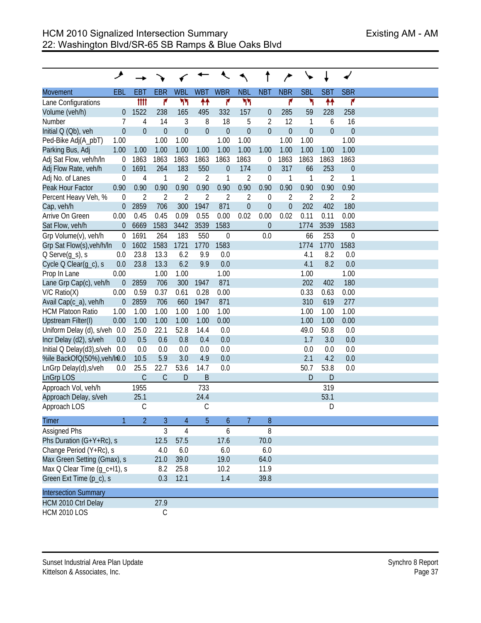| ۸                                |                  |                |                  |                  |                  |                  |                  |                  |                  |                |                |                  |
|----------------------------------|------------------|----------------|------------------|------------------|------------------|------------------|------------------|------------------|------------------|----------------|----------------|------------------|
| <b>EBL</b><br><b>Movement</b>    |                  | <b>EBT</b>     | <b>EBR</b>       | <b>WBL</b>       | <b>WBT</b>       | <b>WBR</b>       | <b>NBL</b>       | <b>NBT</b>       | <b>NBR</b>       | <b>SBL</b>     | <b>SBT</b>     | <b>SBR</b>       |
| Lane Configurations              |                  | tttt           | ۴                | ٦٦               | ₩                | 7                | ۲٢               |                  | ۴                | ۲              | ₩              | ۴                |
| Volume (veh/h)                   | 0                | 1522           | 238              | 165              | 495              | 332              | 157              | $\boldsymbol{0}$ | 285              | 59             | 228            | 258              |
| Number                           | 7                | 4              | 14               | 3                | 8                | 18               | 5                | 2                | 12               | $\mathbf{1}$   | 6              | 16               |
| Initial Q (Qb), veh              | $\mathbf{0}$     | $\theta$       | $\boldsymbol{0}$ | $\boldsymbol{0}$ | $\boldsymbol{0}$ | $\boldsymbol{0}$ | $\boldsymbol{0}$ | $\theta$         | $\boldsymbol{0}$ | $\mathbf 0$    | $\mathbf{0}$   | $\mathbf{0}$     |
| Ped-Bike Adj(A_pbT)<br>1.00      |                  |                | 1.00             | 1.00             |                  | 1.00             | 1.00             |                  | 1.00             | 1.00           |                | 1.00             |
| Parking Bus, Adj<br>1.00         |                  | 1.00           | 1.00             | 1.00             | 1.00             | 1.00             | 1.00             | 1.00             | 1.00             | 1.00           | 1.00           | 1.00             |
| Adj Sat Flow, veh/h/ln           | $\boldsymbol{0}$ | 1863           | 1863             | 1863             | 1863             | 1863             | 1863             | 0                | 1863             | 1863           | 1863           | 1863             |
| Adj Flow Rate, veh/h             | $\boldsymbol{0}$ | 1691           | 264              | 183              | 550              | $\mathbf 0$      | 174              | $\theta$         | 317              | 66             | 253            | $\boldsymbol{0}$ |
| Adj No. of Lanes                 | $\boldsymbol{0}$ | 4              | $\mathbf{1}$     | $\overline{2}$   | $\overline{2}$   | 1                | $\overline{2}$   | $\boldsymbol{0}$ | 1                | $\mathbf{1}$   | $\overline{2}$ | $\mathbf{1}$     |
| Peak Hour Factor<br>0.90         |                  | 0.90           | 0.90             | 0.90             | 0.90             | 0.90             | 0.90             | 0.90             | 0.90             | 0.90           | 0.90           | 0.90             |
| Percent Heavy Veh, %             | $\boldsymbol{0}$ | $\overline{2}$ | 2                | 2                | $\overline{2}$   | $\overline{2}$   | 2                | 0                | $\overline{2}$   | $\overline{2}$ | $\overline{2}$ | $\overline{2}$   |
| Cap, veh/h                       | $\boldsymbol{0}$ | 2859           | 706              | 300              | 1947             | 871              | $\boldsymbol{0}$ | $\boldsymbol{0}$ | $\boldsymbol{0}$ | 202            | 402            | 180              |
| Arrive On Green<br>0.00          |                  | 0.45           | 0.45             | 0.09             | 0.55             | 0.00             | 0.02             | 0.00             | 0.02             | 0.11           | 0.11           | 0.00             |
| Sat Flow, veh/h                  | $\theta$         | 6669           | 1583             | 3442             | 3539             | 1583             |                  | $\mathbf 0$      |                  | 1774           | 3539           | 1583             |
| Grp Volume(v), veh/h             | $\mathbf 0$      | 1691           | 264              | 183              | 550              | $\boldsymbol{0}$ |                  | 0.0              |                  | 66             | 253            | $\mathbf 0$      |
| Grp Sat Flow(s), veh/h/ln        | $\theta$         | 1602           | 1583             | 1721             | 1770             | 1583             |                  |                  |                  | 1774           | 1770           | 1583             |
| $Q$ Serve $(g_s)$ , s            | 0.0              | 23.8           | 13.3             | 6.2              | 9.9              | 0.0              |                  |                  |                  | 4.1            | 8.2            | 0.0              |
| Cycle Q Clear(g_c), s            | 0.0              | 23.8           | 13.3             | 6.2              | 9.9              | 0.0              |                  |                  |                  | 4.1            | 8.2            | 0.0              |
| Prop In Lane<br>0.00             |                  |                | 1.00             | 1.00             |                  | 1.00             |                  |                  |                  | 1.00           |                | 1.00             |
| Lane Grp Cap(c), veh/h           | $\boldsymbol{0}$ | 2859           | 706              | 300              | 1947             | 871              |                  |                  |                  | 202            | 402            | 180              |
| $V/C$ Ratio $(X)$<br>0.00        |                  | 0.59           | 0.37             | 0.61             | 0.28             | 0.00             |                  |                  |                  | 0.33           | 0.63           | 0.00             |
| Avail Cap(c_a), veh/h            | $\boldsymbol{0}$ | 2859           | 706              | 660              | 1947             | 871              |                  |                  |                  | 310            | 619            | 277              |
| <b>HCM Platoon Ratio</b><br>1.00 |                  | 1.00           | 1.00             | 1.00             | 1.00             | 1.00             |                  |                  |                  | 1.00           | 1.00           | 1.00             |
| Upstream Filter(I)<br>0.00       |                  | 1.00           | 1.00             | 1.00             | 1.00             | 0.00             |                  |                  |                  | 1.00           | 1.00           | 0.00             |
| Uniform Delay (d), s/veh 0.0     |                  | 25.0           | 22.1             | 52.8             | 14.4             | 0.0              |                  |                  |                  | 49.0           | 50.8           | 0.0              |
| Incr Delay (d2), s/veh           | 0.0              | 0.5            | 0.6              | 0.8              | 0.4              | 0.0              |                  |                  |                  | 1.7            | 3.0            | 0.0              |
| Initial Q Delay(d3), s/veh 0.0   |                  | 0.0            | 0.0              | 0.0              | 0.0              | 0.0              |                  |                  |                  | 0.0            | 0.0            | 0.0              |
| %ile BackOfQ(50%), veh/lr0.0     |                  | 10.5           | 5.9              | 3.0              | 4.9              | 0.0              |                  |                  |                  | 2.1            | 4.2            | 0.0              |
| LnGrp Delay(d), s/veh            | 0.0              | 25.5           | 22.7             | 53.6             | 14.7             | 0.0              |                  |                  |                  | 50.7           | 53.8           | 0.0              |
| <b>LnGrp LOS</b>                 |                  | $\mathcal{C}$  | $\mathsf C$      | D                | B                |                  |                  |                  |                  | D              | D              |                  |
| Approach Vol, veh/h              |                  | 1955           |                  |                  | 733              |                  |                  |                  |                  |                | 319            |                  |
| Approach Delay, s/veh            |                  | 25.1           |                  |                  | 24.4             |                  |                  |                  |                  |                | 53.1           |                  |
| Approach LOS                     |                  | С              |                  |                  | C                |                  |                  |                  |                  |                | D              |                  |
| Timer                            | $\mathbf{1}$     | $\mathfrak{D}$ | 3                | 4                | 5                | 6                | 7                | 8                |                  |                |                |                  |
| Assigned Phs                     |                  |                | 3                | $\overline{4}$   |                  | 6                |                  | 8                |                  |                |                |                  |
| Phs Duration (G+Y+Rc), s         |                  |                | 12.5             | 57.5             |                  | 17.6             |                  | 70.0             |                  |                |                |                  |
| Change Period (Y+Rc), s          |                  |                | 4.0              | 6.0              |                  | 6.0              |                  | 6.0              |                  |                |                |                  |
| Max Green Setting (Gmax), s      |                  |                | 21.0             | 39.0             |                  | 19.0             |                  | 64.0             |                  |                |                |                  |
| Max Q Clear Time (g_c+l1), s     |                  |                | 8.2              | 25.8             |                  | 10.2             |                  | 11.9             |                  |                |                |                  |
| Green Ext Time (p_c), s          |                  |                | 0.3              | 12.1             |                  | 1.4              |                  | 39.8             |                  |                |                |                  |
| <b>Intersection Summary</b>      |                  |                |                  |                  |                  |                  |                  |                  |                  |                |                |                  |
| HCM 2010 Ctrl Delay              |                  |                | 27.9             |                  |                  |                  |                  |                  |                  |                |                |                  |
| <b>HCM 2010 LOS</b>              |                  |                | C                |                  |                  |                  |                  |                  |                  |                |                |                  |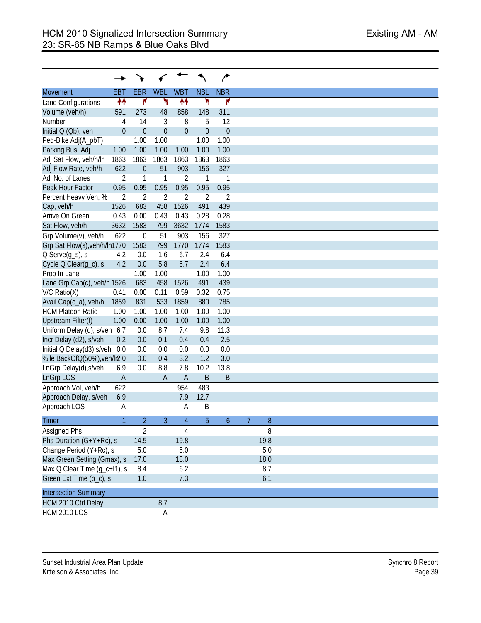|                               |                |                |                |                  |                  | ∕                |   |      |  |
|-------------------------------|----------------|----------------|----------------|------------------|------------------|------------------|---|------|--|
| <b>Movement</b>               | <b>EBT</b>     | <b>EBR</b>     | <b>WBL</b>     | <b>WBT</b>       | <b>NBL</b>       | <b>NBR</b>       |   |      |  |
| Lane Configurations           | ₩              | ۴              | ۲              | ₩                | ۲                | ۴                |   |      |  |
| Volume (veh/h)                | 591            | 273            | 48             | 858              | 148              | 311              |   |      |  |
| Number                        | 4              | 14             | 3              | 8                | 5                | 12               |   |      |  |
| Initial Q (Qb), veh           | $\Omega$       | $\theta$       | $\mathbf 0$    | $\boldsymbol{0}$ | $\boldsymbol{0}$ | $\boldsymbol{0}$ |   |      |  |
| Ped-Bike Adj(A_pbT)           |                | 1.00           | 1.00           |                  | 1.00             | 1.00             |   |      |  |
| Parking Bus, Adj              | 1.00           | 1.00           | 1.00           | 1.00             | 1.00             | 1.00             |   |      |  |
| Adj Sat Flow, veh/h/ln        | 1863           | 1863           | 1863           | 1863             | 1863             | 1863             |   |      |  |
| Adj Flow Rate, veh/h          | 622            | $\mathbf 0$    | 51             | 903              | 156              | 327              |   |      |  |
| Adj No. of Lanes              | $\overline{2}$ | 1              | 1              | $\overline{2}$   | 1                | 1                |   |      |  |
| Peak Hour Factor              | 0.95           | 0.95           | 0.95           | 0.95             | 0.95             | 0.95             |   |      |  |
| Percent Heavy Veh, %          | $\overline{2}$ | $\overline{2}$ | $\overline{2}$ | $\overline{2}$   | $\overline{2}$   | 2                |   |      |  |
| Cap, veh/h                    | 1526           | 683            | 458            | 1526             | 491              | 439              |   |      |  |
| Arrive On Green               | 0.43           | 0.00           | 0.43           | 0.43             | 0.28             | 0.28             |   |      |  |
| Sat Flow, veh/h               | 3632           | 1583           | 799            | 3632             | 1774             | 1583             |   |      |  |
| Grp Volume(v), veh/h          | 622            | $\theta$       | 51             | 903              | 156              | 327              |   |      |  |
| Grp Sat Flow(s), veh/h/ln1770 |                | 1583           | 799            | 1770             | 1774             | 1583             |   |      |  |
| $Q$ Serve $(g_s)$ , s         | 4.2            | 0.0            | 1.6            | 6.7              | 2.4              | 6.4              |   |      |  |
| Cycle Q Clear(g_c), s         | 4.2            | 0.0            | 5.8            | 6.7              | 2.4              | 6.4              |   |      |  |
| Prop In Lane                  |                | 1.00           | 1.00           |                  | 1.00             | 1.00             |   |      |  |
| Lane Grp Cap(c), veh/h 1526   |                | 683            | 458            | 1526             | 491              | 439              |   |      |  |
| $V/C$ Ratio $(X)$             | 0.41           | 0.00           | 0.11           | 0.59             | 0.32             | 0.75             |   |      |  |
| Avail Cap(c_a), veh/h         | 1859           | 831            | 533            | 1859             | 880              | 785              |   |      |  |
| <b>HCM Platoon Ratio</b>      | 1.00           | 1.00           | 1.00           | 1.00             | 1.00             | 1.00             |   |      |  |
| Upstream Filter(I)            | 1.00           | 0.00           | 1.00           | 1.00             | 1.00             | 1.00             |   |      |  |
| Uniform Delay (d), s/veh 6.7  |                | 0.0            | 8.7            | 7.4              | 9.8              | 11.3             |   |      |  |
| Incr Delay (d2), s/veh        | 0.2            | 0.0            | 0.1            | 0.4              | 0.4              | 2.5              |   |      |  |
| Initial Q Delay(d3), s/veh    | 0.0            | 0.0            | 0.0            | 0.0              | 0.0              | 0.0              |   |      |  |
| %ile BackOfQ(50%), veh/ln2.0  |                | 0.0            | 0.4            | 3.2              | 1.2              | 3.0              |   |      |  |
| LnGrp Delay(d), s/veh         | 6.9            | 0.0            | 8.8            | 7.8              | 10.2             | 13.8             |   |      |  |
| <b>LnGrp LOS</b>              | A              |                | A              | A                | B                | B                |   |      |  |
| Approach Vol, veh/h           | 622            |                |                | 954              | 483              |                  |   |      |  |
| Approach Delay, s/veh         | 6.9            |                |                | 7.9              | 12.7             |                  |   |      |  |
| Approach LOS                  | A              |                |                | А                | B                |                  |   |      |  |
| <b>Timer</b>                  | 1              | $\overline{2}$ | 3              | 4                | 5                | 6                | 7 | 8    |  |
| Assigned Phs                  |                | $\overline{2}$ |                | 4                |                  |                  |   | 8    |  |
| Phs Duration (G+Y+Rc), s      |                | 14.5           |                | 19.8             |                  |                  |   | 19.8 |  |
| Change Period (Y+Rc), s       |                | 5.0            |                | 5.0              |                  |                  |   | 5.0  |  |
| Max Green Setting (Gmax), s   |                | 17.0           |                | 18.0             |                  |                  |   | 18.0 |  |
| Max Q Clear Time (g_c+l1), s  |                | 8.4            |                | 6.2              |                  |                  |   | 8.7  |  |
| Green Ext Time (p_c), s       |                | 1.0            |                | 7.3              |                  |                  |   | 6.1  |  |
| <b>Intersection Summary</b>   |                |                |                |                  |                  |                  |   |      |  |
| HCM 2010 Ctrl Delay           |                |                | 8.7            |                  |                  |                  |   |      |  |
| <b>HCM 2010 LOS</b>           |                |                | А              |                  |                  |                  |   |      |  |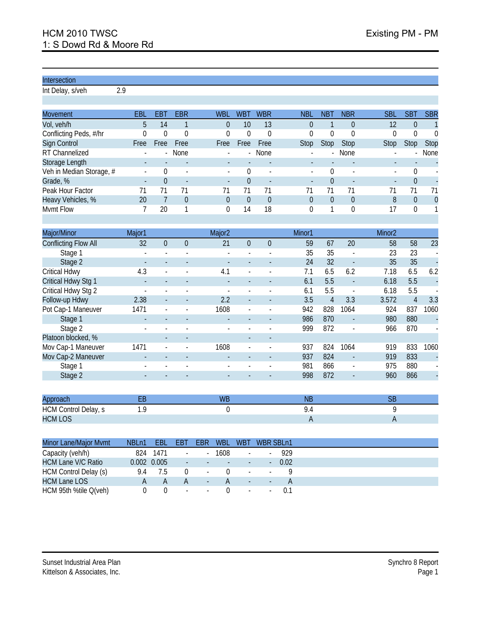Int Delay, s/veh 2.9

| <b>Movement</b>          | EBL                      | EBT                      | <b>EBR</b>               | <b>WBL</b>               | <b>WBT</b>               | <b>WBR</b>               | <b>NBL</b> | NB <sub>1</sub> | <b>NBR</b>               | <b>SBL</b>               | <b>SBT</b> | <b>SBR</b>  |
|--------------------------|--------------------------|--------------------------|--------------------------|--------------------------|--------------------------|--------------------------|------------|-----------------|--------------------------|--------------------------|------------|-------------|
| Vol, veh/h               | 5                        | 14                       |                          | 0                        | 10                       | 13                       | $\Omega$   |                 | $\theta$                 | 12                       | $\Omega$   |             |
| Conflicting Peds, #/hr   | 0                        | $\Omega$                 | 0                        | 0                        | <sup>0</sup>             |                          | 0          | 0               | $\Omega$                 | 0                        | $\theta$   | $\Omega$    |
| <b>Sign Control</b>      | Free                     | Free                     | Free                     | Free                     | Free                     | Free                     | Stop       | Stop            | Stop                     | Stop                     | Stop       | <b>Stop</b> |
| RT Channelized           | $\overline{\phantom{a}}$ | $\overline{\phantom{a}}$ | None                     | $\overline{\phantom{a}}$ | $\overline{\phantom{a}}$ | None                     |            |                 | - None                   | $\overline{\phantom{a}}$ |            | - None      |
| Storage Length           | $\overline{\phantom{a}}$ |                          |                          |                          |                          |                          |            |                 |                          |                          |            |             |
| Veh in Median Storage, # | ۰                        |                          | $\sim$                   |                          |                          |                          |            | 0               |                          | ٠                        | 0          |             |
| Grade, %                 | $\overline{\phantom{a}}$ |                          | $\overline{\phantom{a}}$ | $\overline{\phantom{a}}$ |                          | $\overline{\phantom{a}}$ |            | 0               | $\overline{\phantom{a}}$ | ٠                        | $\theta$   |             |
| Peak Hour Factor         |                          | 71                       |                          |                          | 71                       | 71                       | 71         | 71              | 71                       |                          | 71         |             |
| Heavy Vehicles, %        | 20                       |                          | $\theta$                 | 0                        | $\Omega$                 | $\Omega$                 | 0          | $\theta$        | $\Omega$                 | 8                        | $\theta$   | $\Omega$    |
| Mymt Flow                |                          | 20                       |                          | 0                        | 14                       | 18                       | 0          |                 | $\Omega$                 | 17                       | $\theta$   |             |
|                          |                          |                          |                          |                          |                          |                          |            |                 |                          |                          |            |             |

| Major/Minor                 | Major1                   |                          |          | Major <sub>2</sub> |                          |          | Minor1 |     |      | Minor <sub>2</sub> |                |      |
|-----------------------------|--------------------------|--------------------------|----------|--------------------|--------------------------|----------|--------|-----|------|--------------------|----------------|------|
| <b>Conflicting Flow All</b> | 32                       | $\Omega$                 | $\theta$ | 21                 | $\theta$                 | $\theta$ | 59     | 67  | 20   | 58                 | 58             | 23   |
| Stage 1                     |                          |                          |          |                    |                          |          | 35     | 35  |      | 23                 | 23             |      |
| Stage 2                     |                          |                          |          |                    |                          |          | 24     | 32  |      | 35                 | 35             |      |
| <b>Critical Hdwy</b>        | 4.3                      | $\blacksquare$           |          | 4.1                | $\overline{a}$           |          | 7.1    | 6.5 | 6.2  | 7.18               | 6.5            | 6.2  |
| Critical Hdwy Stg 1         |                          |                          |          | $\qquad \qquad$    |                          |          | 6.1    | 5.5 |      | 6.18               | 5.5            |      |
| Critical Hdwy Stg 2         |                          |                          |          |                    |                          |          | 6.1    | 5.5 |      | 6.18               | 5.5            |      |
| Follow-up Hdwy              | 2.38                     | $\overline{\phantom{a}}$ |          | 2.2                | $\overline{\phantom{a}}$ |          | 3.5    | 4   | 3.3  | 3.572              | $\overline{4}$ | 3.3  |
| Pot Cap-1 Maneuver          | 1471                     | $\overline{\phantom{a}}$ |          | 1608               |                          |          | 942    | 828 | 1064 | 924                | 837            | 1060 |
| Stage 1                     |                          |                          |          |                    |                          |          | 986    | 870 |      | 980                | 880            |      |
| Stage 2                     |                          |                          |          |                    |                          |          | 999    | 872 |      | 966                | 870            |      |
| Platoon blocked, %          |                          | $\overline{\phantom{a}}$ |          |                    |                          |          |        |     |      |                    |                |      |
| Mov Cap-1 Maneuver          | 1471                     | $\blacksquare$           |          | 1608               |                          |          | 937    | 824 | 1064 | 919                | 833            | 1060 |
| Mov Cap-2 Maneuver          | $\overline{\phantom{a}}$ |                          |          |                    |                          |          | 937    | 824 |      | 919                | 833            |      |
| Stage 1                     | ٠                        | ٠                        |          |                    |                          |          | 981    | 866 |      | 975                | 880            |      |
| Stage 2                     |                          |                          |          |                    |                          |          | 998    | 872 |      | 960                | 866            |      |

| <b>Approact</b>      |  | . |  |
|----------------------|--|---|--|
| HCM Control Delay, s |  |   |  |
| <b>HCM LOS</b>       |  |   |  |

| <b>Minor Lane/Major Mvmt</b> | NBLn1  | EBL              | <b>FBT</b>     | EBR                      | <b>WBL</b>                                            | <b>WBT</b>               | WBR SBLn1 |         |
|------------------------------|--------|------------------|----------------|--------------------------|-------------------------------------------------------|--------------------------|-----------|---------|
| Capacity (veh/h)             |        | 824 1471         | $\blacksquare$ |                          | - 1608                                                | $\overline{\phantom{a}}$ | $\sim$    | - 929   |
| <b>HCM Lane V/C Ratio</b>    |        | 0.002 0.005      | $\sim$         | $\sim$                   | <u>and the second property of the second property</u> | $\sim$                   |           | $-0.02$ |
| <b>HCM Control Delay (s)</b> | 9.4    | $\frac{1}{2}$    | $\overline{0}$ | $\sim$                   | $\left( \right)$                                      | $\sim$                   | $\sim$    |         |
| <b>HCM Lane LOS</b>          | A      | $\mathsf{A}$     | A              | $\overline{\phantom{a}}$ | $\mathsf{A}$                                          | <b>Co</b>                |           |         |
| HCM 95th %tile Q(veh)        | $\cup$ | $\left( \right)$ | $\sim$         | $\sim$                   | 0                                                     | $\sim$                   | $\sim$    | - O T   |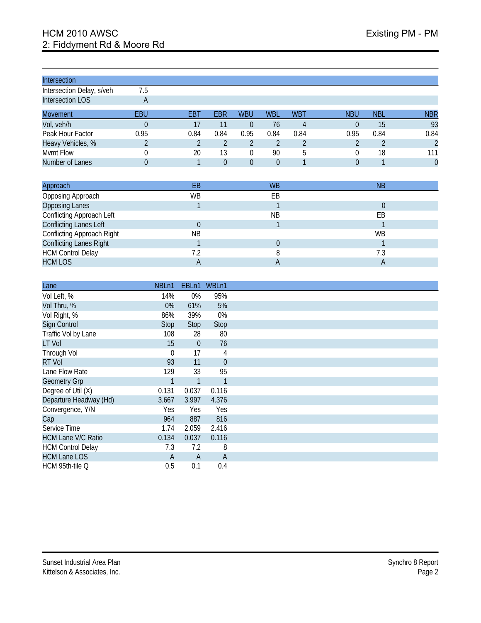| 7.5        |                 |            |            |                |            |            |            |                |
|------------|-----------------|------------|------------|----------------|------------|------------|------------|----------------|
| A          |                 |            |            |                |            |            |            |                |
| <b>EBU</b> | EB <sub>1</sub> | <b>EBR</b> | <b>WBU</b> | <b>WBL</b>     | <b>WBT</b> | <b>NBU</b> | <b>NBL</b> | <b>NBR</b>     |
|            | 17              | 11         | 0          | 76             |            |            | 15         | 93             |
| 0.95       | 0.84            | 0.84       | 0.95       | 0.84           | 0.84       | 0.95       | 0.84       | 0.84           |
|            |                 |            |            |                |            |            |            | $\overline{2}$ |
|            | 20              | 13         |            | 90             |            |            | 18         | 111            |
|            |                 | $\Omega$   | 0          | $\overline{0}$ |            | O          |            | $\overline{0}$ |
|            |                 |            |            |                |            |            |            |                |

| Approach                          | EВ        | <b>WB</b>    | ΝB             |
|-----------------------------------|-----------|--------------|----------------|
| Opposing Approach                 | <b>WB</b> | EB           |                |
| <b>Opposing Lanes</b>             |           |              |                |
| Conflicting Approach Left         |           | ΝB           | ΕB             |
| <b>Conflicting Lanes Left</b>     |           |              |                |
| <b>Conflicting Approach Right</b> | ΝB        |              | <b>WB</b>      |
| Conflicting Lanes Right           |           |              |                |
| <b>HCM Control Delay</b>          |           |              | 7.3            |
| <b>HCM LOS</b>                    |           | $\mathsf{H}$ | $\overline{A}$ |

| Lane                      | NBLn1       | EBLn1        | WBLn1          |  |
|---------------------------|-------------|--------------|----------------|--|
| Vol Left, %               | 14%         | 0%           | 95%            |  |
| Vol Thru, %               | 0%          | 61%          | 5%             |  |
| Vol Right, %              | 86%         | 39%          | 0%             |  |
| Sign Control              | <b>Stop</b> | Stop         | Stop           |  |
| Traffic Vol by Lane       | 108         | 28           | 80             |  |
| LT Vol                    | 15          | $\theta$     | 76             |  |
| Through Vol               | $\mathbf 0$ | 17           | 4              |  |
| RT Vol                    | 93          | 11           | $\theta$       |  |
| Lane Flow Rate            | 129         | 33           | 95             |  |
| <b>Geometry Grp</b>       |             |              | $\mathbf 1$    |  |
| Degree of Util (X)        | 0.131       | 0.037        | 0.116          |  |
| Departure Headway (Hd)    | 3.667       | 3.997        | 4.376          |  |
| Convergence, Y/N          | Yes.        | Yes          | Yes            |  |
| Cap                       | 964         | 887          | 816            |  |
| Service Time              | 1.74        | 2.059        | 2.416          |  |
| <b>HCM Lane V/C Ratio</b> | 0.134       | 0.037        | 0.116          |  |
| <b>HCM Control Delay</b>  | 7.3         | 7.2          | 8              |  |
| <b>HCM Lane LOS</b>       | A           | $\mathsf{A}$ | $\overline{A}$ |  |
| HCM 95th-tile Q           | 0.5         | 0.1          | 0.4            |  |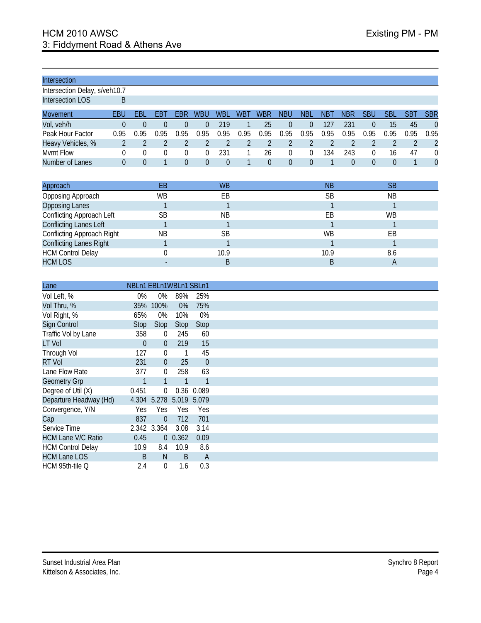| Intersection |  |  |
|--------------|--|--|

Intersection Delay, s/veh10.7

| Intersection LOS  | В          |      |      |              |              |            |      |      |            |      |      |            |          |      |      |      |
|-------------------|------------|------|------|--------------|--------------|------------|------|------|------------|------|------|------------|----------|------|------|------|
| <b>Movement</b>   | <b>FBU</b> | FBI  | FB1  | FRR          | WBU          | <b>WBL</b> | WB1  | WBR  | <b>NBU</b> | NBL  | NB1  | <b>NBR</b> | SBU      | SBL  |      | SBR  |
| Vol, veh/h        |            |      |      | U            | 0            | 219        |      | 25   | $\theta$   | 0    |      | 231        | $\theta$ | 15   | 45   |      |
| Peak Hour Factor  | 0.95       | በ 95 | 0.95 | በ 95         | ) 95         | 0.95       | O 95 | 0.95 | 0.95       | 0.95 | 0.95 | 0.95       | 0.95     | ን 95 | 0 95 | 0.95 |
| Heavy Vehicles, % |            |      |      |              |              |            |      |      |            |      |      |            |          |      |      |      |
| Mymt Flow         |            |      |      |              | 0            | 231        |      | 26   |            |      | 134  | 243        | $\cup$   | 16   | 47   | 0    |
| Number of Lanes   |            |      |      | <sup>n</sup> | $\mathbf{0}$ | $\Omega$   |      |      |            |      |      |            | $\left($ | 0    |      |      |

| Approach                          | ЕB        | <b>WB</b> | <b>NB</b> | SΒ  |
|-----------------------------------|-----------|-----------|-----------|-----|
| Opposing Approach                 | WB        | ΕB        | SВ        | ΝB  |
| Opposing Lanes                    |           |           |           |     |
| <b>Conflicting Approach Left</b>  | <b>SB</b> | ΝB        | EВ        | WB  |
| <b>Conflicting Lanes Left</b>     |           |           |           |     |
| <b>Conflicting Approach Right</b> | <b>NB</b> | SB        | <b>WB</b> | EВ  |
| <b>Conflicting Lanes Right</b>    |           |           |           |     |
| <b>HCM Control Delay</b>          |           | 10.9      | 10.9      | 8.6 |
| <b>HCM LOS</b>                    |           |           | B         |     |

| Lane                      | NBLn1 EBLn1WBLn1 SBLn1 |                |       |                |
|---------------------------|------------------------|----------------|-------|----------------|
| Vol Left, %               | 0%                     | 0%             | 89%   | 25%            |
| Vol Thru, %               | 35%                    | 100%           | 0%    | 75%            |
| Vol Right, %              | 65%                    | 0%             | 10%   | 0%             |
| Sign Control              | Stop                   | Stop           | Stop  | Stop           |
| Traffic Vol by Lane       | 358                    | $\overline{0}$ | 245   | 60             |
| LT Vol                    | $\theta$               | $\overline{0}$ | 219   | 15             |
| Through Vol               | 127                    | $\mathbf 0$    | 1     | 45             |
| RT Vol                    | 231                    | $\overline{0}$ | 25    | 0              |
| Lane Flow Rate            | 377                    | $\mathbf 0$    | 258   | 63             |
| <b>Geometry Grp</b>       |                        |                |       |                |
| Degree of Util (X)        | 0.451                  | $\overline{0}$ |       | 0.36 0.089     |
| Departure Headway (Hd)    | 4.304                  | 5.278          | 5.019 | 5.079          |
| Convergence, Y/N          | Yes                    | Yes            | Yes   | Yes            |
| Cap                       | 837                    | $\Omega$       | 712   | 701            |
| Service Time              |                        | 2.342 3.364    | 3.08  | 3.14           |
| <b>HCM Lane V/C Ratio</b> | 0.45                   |                | 0.362 | 0.09           |
| <b>HCM Control Delay</b>  | 10.9                   | 8.4            | 10.9  | 8.6            |
| <b>HCM Lane LOS</b>       | B                      | N.             | B     | $\overline{A}$ |
| HCM 95th-tile Q           | 2.4                    | $\mathbf 0$    | 1.6   | 0.3            |